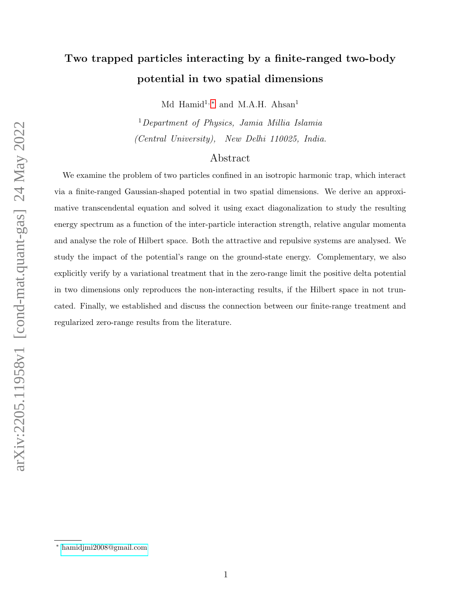# Two trapped particles interacting by a finite-ranged two-body potential in two spatial dimensions

Md Hamid<sup>1,\*</sup> and M.A.H. Ahsan<sup>1</sup>

<sup>1</sup>Department of Physics, Jamia Millia Islamia (Central University), New Delhi 110025, India.

## Abstract

We examine the problem of two particles confined in an isotropic harmonic trap, which interact via a finite-ranged Gaussian-shaped potential in two spatial dimensions. We derive an approximative transcendental equation and solved it using exact diagonalization to study the resulting energy spectrum as a function of the inter-particle interaction strength, relative angular momenta and analyse the role of Hilbert space. Both the attractive and repulsive systems are analysed. We study the impact of the potential's range on the ground-state energy. Complementary, we also explicitly verify by a variational treatment that in the zero-range limit the positive delta potential in two dimensions only reproduces the non-interacting results, if the Hilbert space in not truncated. Finally, we established and discuss the connection between our finite-range treatment and regularized zero-range results from the literature.

<span id="page-0-0"></span><sup>∗</sup> [hamidjmi2008@gmail.com](mailto:hamidjmi2008@gmail.com)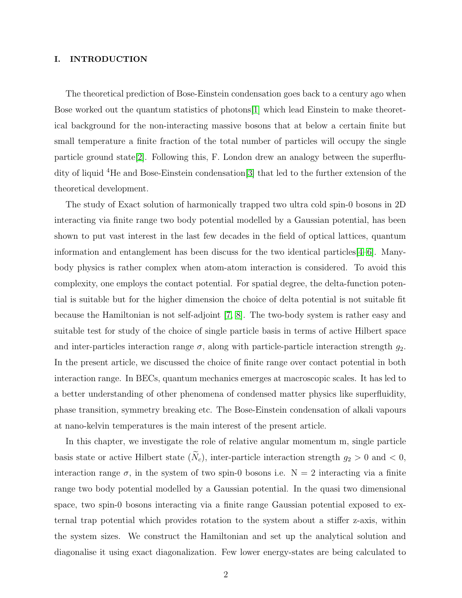#### I. INTRODUCTION

The theoretical prediction of Bose-Einstein condensation goes back to a century ago when Bose worked out the quantum statistics of photons[\[1\]](#page-32-0) which lead Einstein to make theoretical background for the non-interacting massive bosons that at below a certain finite but small temperature a finite fraction of the total number of particles will occupy the single particle ground state[\[2\]](#page-32-1). Following this, F. London drew an analogy between the superfludity of liquid <sup>4</sup>He and Bose-Einstein condensation[\[3\]](#page-32-2) that led to the further extension of the theoretical development.

The study of Exact solution of harmonically trapped two ultra cold spin-0 bosons in 2D interacting via finite range two body potential modelled by a Gaussian potential, has been shown to put vast interest in the last few decades in the field of optical lattices, quantum information and entanglement has been discuss for the two identical particles[\[4–](#page-32-3)[6\]](#page-33-0). Manybody physics is rather complex when atom-atom interaction is considered. To avoid this complexity, one employs the contact potential. For spatial degree, the delta-function potential is suitable but for the higher dimension the choice of delta potential is not suitable fit because the Hamiltonian is not self-adjoint [\[7,](#page-33-1) [8\]](#page-33-2). The two-body system is rather easy and suitable test for study of the choice of single particle basis in terms of active Hilbert space and inter-particles interaction range  $\sigma$ , along with particle-particle interaction strength  $g_2$ . In the present article, we discussed the choice of finite range over contact potential in both interaction range. In BECs, quantum mechanics emerges at macroscopic scales. It has led to a better understanding of other phenomena of condensed matter physics like superfluidity, phase transition, symmetry breaking etc. The Bose-Einstein condensation of alkali vapours at nano-kelvin temperatures is the main interest of the present article.

In this chapter, we investigate the role of relative angular momentum m, single particle basis state or active Hilbert state  $(\widetilde{N}_c)$ , inter-particle interaction strength  $g_2 > 0$  and  $< 0$ , interaction range  $\sigma$ , in the system of two spin-0 bosons i.e.  $N = 2$  interacting via a finite range two body potential modelled by a Gaussian potential. In the quasi two dimensional space, two spin-0 bosons interacting via a finite range Gaussian potential exposed to external trap potential which provides rotation to the system about a stiffer z-axis, within the system sizes. We construct the Hamiltonian and set up the analytical solution and diagonalise it using exact diagonalization. Few lower energy-states are being calculated to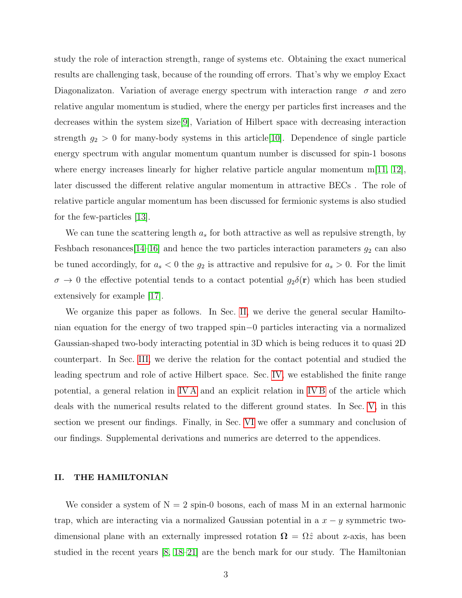study the role of interaction strength, range of systems etc. Obtaining the exact numerical results are challenging task, because of the rounding off errors. That's why we employ Exact Diagonalizaton. Variation of average energy spectrum with interaction range  $\sigma$  and zero relative angular momentum is studied, where the energy per particles first increases and the decreases within the system size[\[9\]](#page-33-3), Variation of Hilbert space with decreasing interaction strength  $g_2 > 0$  for many-body systems in this article [\[10\]](#page-33-4). Dependence of single particle energy spectrum with angular momentum quantum number is discussed for spin-1 bosons where energy increases linearly for higher relative particle angular momentum  $m(11, 12)$ , later discussed the different relative angular momentum in attractive BECs . The role of relative particle angular momentum has been discussed for fermionic systems is also studied for the few-particles [\[13\]](#page-33-7).

We can tune the scattering length  $a_s$  for both attractive as well as repulsive strength, by Feshbach resonances  $[14-16]$  $[14-16]$  and hence the two particles interaction parameters  $g_2$  can also be tuned accordingly, for  $a_s < 0$  the  $g_2$  is attractive and repulsive for  $a_s > 0$ . For the limit  $\sigma \to 0$  the effective potential tends to a contact potential  $g_2\delta(\mathbf{r})$  which has been studied extensively for example [\[17\]](#page-33-10).

We organize this paper as follows. In Sec. [II,](#page-2-0) we derive the general secular Hamiltonian equation for the energy of two trapped spin−0 particles interacting via a normalized Gaussian-shaped two-body interacting potential in 3D which is being reduces it to quasi 2D counterpart. In Sec. [III,](#page-6-0) we derive the relation for the contact potential and studied the leading spectrum and role of active Hilbert space. Sec. [IV,](#page-7-0) we established the finite range potential, a general relation in [IV A](#page-7-1) and an explicit relation in [IV B](#page-8-0) of the article which deals with the numerical results related to the different ground states. In Sec. [V,](#page-9-0) in this section we present our findings. Finally, in Sec. [VI](#page-26-0) we offer a summary and conclusion of our findings. Supplemental derivations and numerics are deterred to the appendices.

#### <span id="page-2-0"></span>II. THE HAMILTONIAN

We consider a system of  $N = 2$  spin-0 bosons, each of mass M in an external harmonic trap, which are interacting via a normalized Gaussian potential in a  $x - y$  symmetric twodimensional plane with an externally impressed rotation  $\Omega = \Omega \hat{z}$  about z-axis, has been studied in the recent years [\[8,](#page-33-2) [18](#page-33-11)[–21\]](#page-33-12) are the bench mark for our study. The Hamiltonian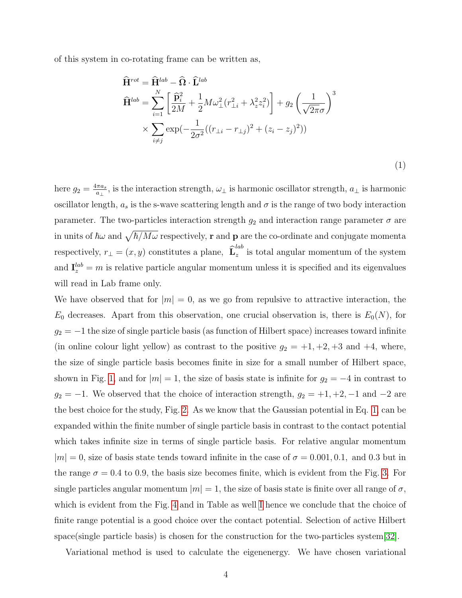of this system in co-rotating frame can be written as,

<span id="page-3-0"></span>
$$
\hat{\mathbf{H}}^{rot} = \hat{\mathbf{H}}^{lab} - \hat{\mathbf{\Omega}} \cdot \hat{\mathbf{L}}^{lab}
$$
\n
$$
\hat{\mathbf{H}}^{lab} = \sum_{i=1}^{N} \left[ \frac{\hat{\mathbf{p}}_i^2}{2M} + \frac{1}{2} M \omega_{\perp}^2 (r_{\perp i}^2 + \lambda_z^2 z_i^2) \right] + g_2 \left( \frac{1}{\sqrt{2\pi}\sigma} \right)^3
$$
\n
$$
\times \sum_{i \neq j} \exp(-\frac{1}{2\sigma^2} ((r_{\perp i} - r_{\perp j})^2 + (z_i - z_j)^2))
$$

(1)

here  $g_2 = \frac{4\pi a_s}{a_1}$  $\frac{\pi a_s}{a_\perp}$ , is the interaction strength,  $\omega_\perp$  is harmonic oscillator strength,  $a_\perp$  is harmonic oscillator length,  $a_s$  is the s-wave scattering length and  $\sigma$  is the range of two body interaction parameter. The two-particles interaction strength  $g_2$  and interaction range parameter  $\sigma$  are in units of  $\hbar\omega$  and  $\sqrt{\hbar/M\omega}$  respectively,  ${\bf r}$  and  ${\bf p}$  are the co-ordinate and conjugate momenta respectively,  $r_{\perp} = (x, y)$  constitutes a plane,  $\widehat{\mathbf{L}}_z^{lab}$  $\sum_{z}$  is total angular momentum of the system and  $I_z^{lab} = m$  is relative particle angular momentum unless it is specified and its eigenvalues will read in Lab frame only.

We have observed that for  $|m| = 0$ , as we go from repulsive to attractive interaction, the  $E_0$  decreases. Apart from this observation, one crucial observation is, there is  $E_0(N)$ , for  $g_2 = -1$  the size of single particle basis (as function of Hilbert space) increases toward infinite (in online colour light yellow) as contrast to the positive  $g_2 = +1, +2, +3$  and  $+4$ , where, the size of single particle basis becomes finite in size for a small number of Hilbert space, shown in Fig. [1,](#page-12-0) and for  $|m| = 1$ , the size of basis state is infinite for  $g_2 = -4$  in contrast to  $g_2 = -1$ . We observed that the choice of interaction strength,  $g_2 = +1, +2, -1$  and  $-2$  are the best choice for the study, Fig. [2.](#page-13-0) As we know that the Gaussian potential in Eq. [1,](#page-3-0) can be expanded within the finite number of single particle basis in contrast to the contact potential which takes infinite size in terms of single particle basis. For relative angular momentum  $|m| = 0$ , size of basis state tends toward infinite in the case of  $\sigma = 0.001, 0.1$ , and 0.3 but in the range  $\sigma = 0.4$  to 0.9, the basis size becomes finite, which is evident from the Fig. [3.](#page-14-0) For single particles angular momentum  $|m| = 1$ , the size of basis state is finite over all range of  $\sigma$ , which is evident from the Fig. [4](#page-15-0) and in Table as well [I](#page-10-0) hence we conclude that the choice of finite range potential is a good choice over the contact potential. Selection of active Hilbert space(single particle basis) is chosen for the construction for the two-particles system[\[32\]](#page-33-13).

Variational method is used to calculate the eigenenergy. We have chosen variational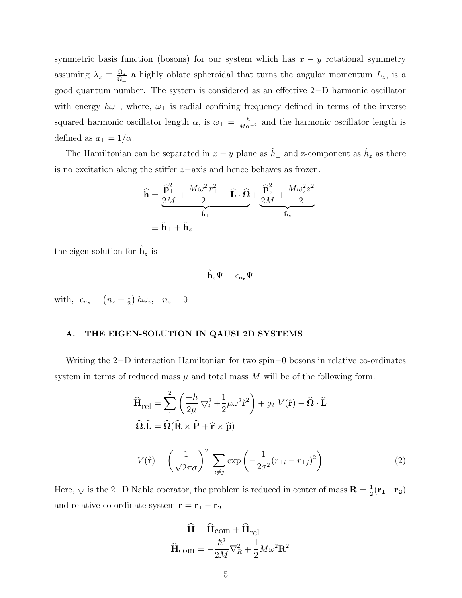symmetric basis function (bosons) for our system which has  $x - y$  rotational symmetry assuming  $\lambda_z \equiv \frac{\Omega_z}{\Omega_z}$  $\frac{\Omega_z}{\Omega_\perp}$  a highly oblate spheroidal that turns the angular momentum  $L_z$ , is a good quantum number. The system is considered as an effective 2−D harmonic oscillator with energy  $\hbar\omega_{\perp}$ , where,  $\omega_{\perp}$  is radial confining frequency defined in terms of the inverse squared harmonic oscillator length  $\alpha$ , is  $\omega_{\perp} = \frac{\hbar}{M\alpha^{-2}}$  and the harmonic oscillator length is defined as  $a_{\perp} = 1/\alpha$ .

The Hamiltonian can be separated in  $x - y$  plane as  $\hat{h}_\perp$  and z-component as  $\hat{h}_z$  as there is no excitation along the stiffer z−axis and hence behaves as frozen.

$$
\hat{\mathbf{h}} = \underbrace{\frac{\hat{\mathbf{p}}_1^2}{2M} + \frac{M\omega_\perp^2 r_\perp^2}{2} - \hat{\mathbf{L}} \cdot \hat{\mathbf{\Omega}}}_{\hat{\mathbf{h}}_\perp} + \underbrace{\frac{\hat{\mathbf{p}}_z^2}{2M} + \frac{M\omega_z^2 z^2}{2}}_{\hat{\mathbf{h}}_z}
$$
\n
$$
\equiv \hat{\mathbf{h}}_\perp + \hat{\mathbf{h}}_z
$$

the eigen-solution for  $\hat{\mathbf{h}}_z$  is

$$
\hat{\mathbf{h}}_z\Psi=\epsilon_{\mathbf{n_z}}\Psi
$$

with,  $\epsilon_{n_z} = \left(n_z + \frac{1}{2}\right)$  $(\frac{1}{2}) \hbar \omega_z$ ,  $n_z = 0$ 

## A. THE EIGEN-SOLUTION IN QAUSI 2D SYSTEMS

Writing the 2−D interaction Hamiltonian for two spin−0 bosons in relative co-ordinates system in terms of reduced mass  $\mu$  and total mass M will be of the following form.

$$
\widehat{\mathbf{H}}_{\text{rel}} = \sum_{1}^{2} \left( \frac{-\hbar}{2\mu} \nabla_{i}^{2} + \frac{1}{2} \mu \omega^{2} \widehat{\mathbf{r}}^{2} \right) + g_{2} V(\widehat{\mathbf{r}}) - \widehat{\mathbf{\Omega}} \cdot \widehat{\mathbf{L}}
$$

$$
\widehat{\mathbf{\Omega}} \cdot \widehat{\mathbf{L}} = \widehat{\mathbf{\Omega}} (\widehat{\mathbf{R}} \times \widehat{\mathbf{P}} + \widehat{\mathbf{r}} \times \widehat{\mathbf{p}})
$$

$$
V(\hat{\mathbf{r}}) = \left(\frac{1}{\sqrt{2\pi}\sigma}\right)^2 \sum_{i \neq j} \exp\left(-\frac{1}{2\sigma^2}(r_{\perp i} - r_{\perp j})^2\right)
$$
(2)

Here,  $\bigtriangledown$  is the 2-D Nabla operator, the problem is reduced in center of mass  $\mathbf{R} = \frac{1}{2}$  $\frac{1}{2}({\bf r_{1}}+{\bf r_{2}})$ and relative co-ordinate system  $\mathbf{r} = \mathbf{r_1} - \mathbf{r_2}$ 

$$
\dot{\mathbf{H}} = \dot{\mathbf{H}}_{\text{com}} + \dot{\mathbf{H}}_{\text{rel}}
$$

$$
\hat{\mathbf{H}}_{\text{com}} = -\frac{\hbar^2}{2M} \nabla_R^2 + \frac{1}{2} M \omega^2 \mathbf{R}^2
$$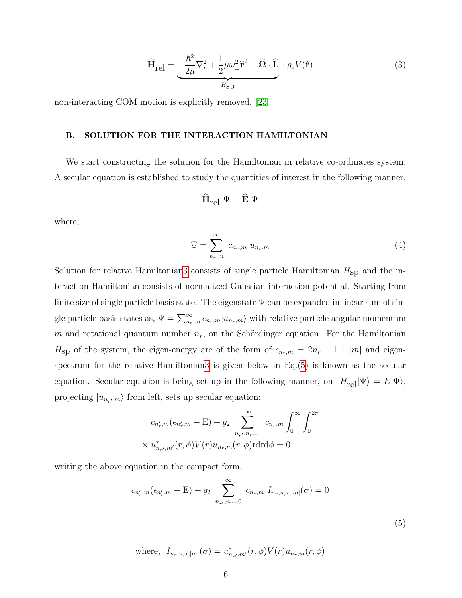<span id="page-5-0"></span>
$$
\widehat{\mathbf{H}}_{\text{rel}} = -\frac{\hbar^2}{2\mu} \nabla_r^2 + \frac{1}{2} \mu \omega_{\perp}^2 \widehat{\mathbf{r}}^2 - \widehat{\mathbf{\Omega}} \cdot \widehat{\mathbf{L}} + g_2 V(\widehat{\mathbf{r}})
$$
(3)

non-interacting COM motion is explicitly removed. [\[23\]](#page-33-14)

#### B. SOLUTION FOR THE INTERACTION HAMILTONIAN

We start constructing the solution for the Hamiltonian in relative co-ordinates system. A secular equation is established to study the quantities of interest in the following manner,

$$
\widehat{\mathbf{H}}_{rel} \ \Psi = \widehat{\mathbf{E}} \ \Psi
$$

where,

$$
\Psi = \sum_{n_r,m}^{\infty} c_{n_r,m} u_{n_r,m} \tag{4}
$$

Solution for relative Hamiltonia[n3](#page-5-0) consists of single particle Hamiltonian  $H_{\rm SD}$  and the interaction Hamiltonian consists of normalized Gaussian interaction potential. Starting from finite size of single particle basis state. The eigenstate  $\Psi$  can be expanded in linear sum of single particle basis states as,  $\Psi = \sum_{n_r,m}^{\infty} c_{n_r,m} |u_{n_r,m}\rangle$  with relative particle angular momentum m and rotational quantum number  $n_r$ , on the Schördinger equation. For the Hamiltonian  $H_{\rm SD}$  of the system, the eigen-energy are of the form of  $\epsilon_{n_r,m} = 2n_r + 1 + |m|$  and eigenspectrum for the relative Hamiltonia[n3](#page-5-0) is given below in  $Eq.(5)$  $Eq.(5)$  is known as the secular equation. Secular equation is being set up in the following manner, on  $H_{\text{rel}}|\Psi\rangle = E|\Psi\rangle$ , projecting  $|u_{n_{r'},m}\rangle$  from left, sets up secular equation:

$$
c_{n'_r,m}(\epsilon_{n'_r,m} - \mathbf{E}) + g_2 \sum_{n_{r'},n_r=0}^{\infty} c_{n_r,m} \int_0^{\infty} \int_0^{2\pi} dx
$$
  
  $\times u^*_{n_{r'},m'}(r,\phi)V(r)u_{n_r,m}(r,\phi) \operatorname{rdrd}\phi = 0$ 

writing the above equation in the compact form,

$$
c_{n'_r,m}(\epsilon_{n'_r,m} - \mathbf{E}) + g_2 \sum_{n_{r'},n_r=0}^{\infty} c_{n_r,m} I_{n_r,n_{r'},|m|}(\sigma) = 0
$$

(5)

<span id="page-5-1"></span>where, 
$$
I_{n_r, n_{r'}, |m|}(\sigma) = u_{n_{r'}, m'}^*(r, \phi) V(r) u_{n_r, m}(r, \phi)
$$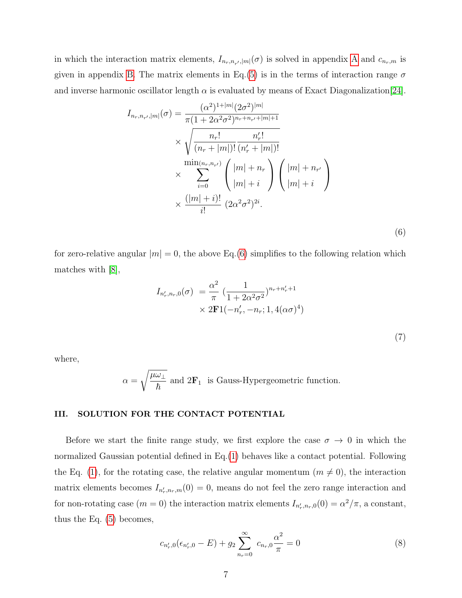in which the interaction matrix elements,  $I_{n_r,n_{r'}|m|}(\sigma)$  is solved in appendix [A](#page-28-0) and  $c_{n_r,m}$  is given in appendix [B.](#page-31-0) The matrix elements in Eq.[\(5\)](#page-5-1) is in the terms of interaction range  $\sigma$ and inverse harmonic oscillator length  $\alpha$  is evaluated by means of Exact Diagonalization [\[24\]](#page-33-15).

$$
I_{n_r, n_{r'}, |m|}(\sigma) = \frac{(\alpha^2)^{1+|m|} (2\sigma^2)^{|m|}}{\pi (1 + 2\alpha^2 \sigma^2)^{n_r + n_{r'} + |m| + 1}}
$$
  
\$\times \sqrt{\frac{n\_r!}{(n\_r + |m|)!} \frac{n'\_r!}{(n'\_r + |m|)!}}\n  
\$\times \sum\_{i=0}^{\min(n\_r, n\_{r'})} {\binom{|m| + n\_r}{|m| + i}} {\binom{|m| + n\_{r'}}{|m| + i}}\n  
\$\times \frac{(|m| + i)!}{i!} (2\alpha^2 \sigma^2)^{2i}. \qquad (6)

for zero-relative angular  $|m| = 0$ , the above Eq.[\(6\)](#page-6-1) simplifies to the following relation which matches with [\[8\]](#page-33-2),

<span id="page-6-1"></span>
$$
I_{n'_r,n_r,0}(\sigma) = \frac{\alpha^2}{\pi} \left( \frac{1}{1 + 2\alpha^2 \sigma^2} \right)^{n_r + n'_r + 1}
$$
  
 
$$
\times 2\mathbf{F}1(-n'_r, -n_r; 1, 4(\alpha \sigma)^4)
$$

(7)

where,

$$
\alpha=\sqrt{\frac{\mu\omega_{\perp}}{\hbar}}
$$
 and  $2\mathbf{F}_1\;$  is Gauss-Hypergeometric function.

### <span id="page-6-0"></span>III. SOLUTION FOR THE CONTACT POTENTIAL

Before we start the finite range study, we first explore the case  $\sigma \to 0$  in which the normalized Gaussian potential defined in Eq.[\(1\)](#page-3-0) behaves like a contact potential. Following the Eq. [\(1\)](#page-3-0), for the rotating case, the relative angular momentum ( $m \neq 0$ ), the interaction matrix elements becomes  $I_{n'_r,n_r,m}(0) = 0$ , means do not feel the zero range interaction and for non-rotating case  $(m = 0)$  the interaction matrix elements  $I_{n'_r,n_r,0}(0) = \alpha^2/\pi$ , a constant, thus the Eq. [\(5\)](#page-5-1) becomes,

<span id="page-6-2"></span>
$$
c_{n'_r,0}(\epsilon_{n'_r,0} - E) + g_2 \sum_{n_r=0}^{\infty} c_{n_r,0} \frac{\alpha^2}{\pi} = 0
$$
 (8)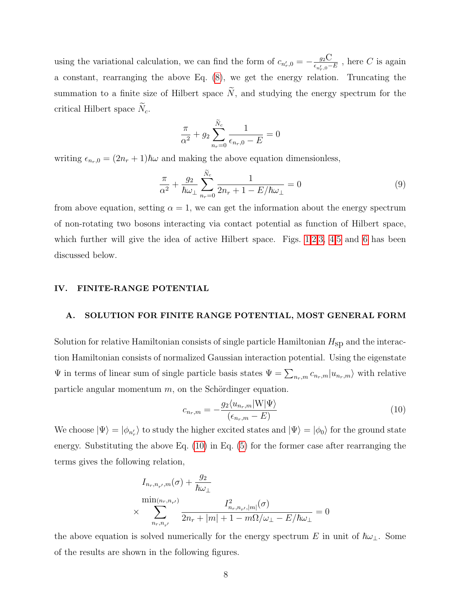using the variational calculation, we can find the form of  $c_{n'_r,0} = -\frac{g_2 C}{\epsilon_{n'_r,0}}$  $\frac{g_2\bigcup}{\epsilon_{n'_r,0}-E}$  , here C is again a constant, rearranging the above Eq. [\(8\)](#page-6-2), we get the energy relation. Truncating the summation to a finite size of Hilbert space  $\tilde{N}$ , and studying the energy spectrum for the critical Hilbert space  $N_c$ .

$$
\frac{\pi}{\alpha^2} + g_2 \sum_{n_r=0}^{\tilde{N}_c} \frac{1}{\epsilon_{n_r,0} - E} = 0
$$

writing  $\epsilon_{n_r,0} = (2n_r + 1)\hbar\omega$  and making the above equation dimensionless,

$$
\frac{\pi}{\alpha^2} + \frac{g_2}{\hbar \omega_\perp} \sum_{n_r=0}^{\tilde{N}_c} \frac{1}{2n_r + 1 - E/\hbar \omega_\perp} = 0 \tag{9}
$$

from above equation, setting  $\alpha = 1$ , we can get the information about the energy spectrum of non-rotating two bosons interacting via contact potential as function of Hilbert space, which further will give the idea of active Hilbert space. Figs. [1](#page-12-0)[,2,](#page-13-0)[3,](#page-14-0) [4,](#page-15-0)[5](#page-16-0) and [6](#page-17-0) has been discussed below.

#### <span id="page-7-0"></span>IV. FINITE-RANGE POTENTIAL

#### <span id="page-7-1"></span>A. SOLUTION FOR FINITE RANGE POTENTIAL, MOST GENERAL FORM

Solution for relative Hamiltonian consists of single particle Hamiltonian  $H_{SD}$  and the interaction Hamiltonian consists of normalized Gaussian interaction potential. Using the eigenstate  $\Psi$  in terms of linear sum of single particle basis states  $\Psi = \sum_{n_r,m} c_{n_r,m} |u_{n_r,m}\rangle$  with relative particle angular momentum  $m$ , on the Schördinger equation.

<span id="page-7-2"></span>
$$
c_{n_r,m} = -\frac{g_2 \langle u_{n_r,m} | \mathbf{W} | \Psi \rangle}{(\epsilon_{n_r,m} - E)}
$$
(10)

We choose  $|\Psi\rangle = |\phi_{n'_r}\rangle$  to study the higher excited states and  $|\Psi\rangle = |\phi_0\rangle$  for the ground state energy. Substituting the above Eq. [\(10\)](#page-7-2) in Eq. [\(5\)](#page-5-1) for the former case after rearranging the terms gives the following relation,

$$
I_{n_r, n_{r'}, m}(\sigma) + \frac{g_2}{\hbar \omega_{\perp}}
$$
  

$$
\times \sum_{n_r, n_{r'}}^{min(n_r, n_{r'})} \frac{I_{n_r, n_{r'}, |m|}^2(\sigma)}{2n_r + |m| + 1 - m\Omega/\omega_{\perp} - E/\hbar \omega_{\perp}} = 0
$$

the above equation is solved numerically for the energy spectrum E in unit of  $\hbar\omega_\perp$ . Some of the results are shown in the following figures.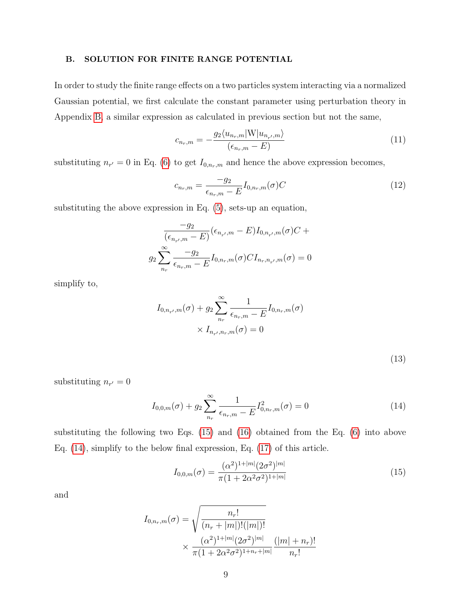## <span id="page-8-0"></span>B. SOLUTION FOR FINITE RANGE POTENTIAL

In order to study the finite range effects on a two particles system interacting via a normalized Gaussian potential, we first calculate the constant parameter using perturbation theory in Appendix [B,](#page-31-0) a similar expression as calculated in previous section but not the same,

$$
c_{n_r,m} = -\frac{g_2 \langle u_{n_r,m} | \mathbf{W} | u_{n_{r'},m} \rangle}{(\epsilon_{n_r,m} - E)}
$$
(11)

substituting  $n_{r'} = 0$  in Eq. [\(6\)](#page-6-1) to get  $I_{0,n_r,m}$  and hence the above expression becomes,

$$
c_{n_r,m} = \frac{-g_2}{\epsilon_{n_r,m} - E} I_{0,n_r,m}(\sigma) C
$$
\n(12)

substituting the above expression in Eq. [\(5\)](#page-5-1), sets-up an equation,

$$
\frac{-g_2}{(\epsilon_{n_{r'},m} - E)}(\epsilon_{n_{r'},m} - E)I_{0,n_{r'},m}(\sigma)C +
$$
  

$$
g_2 \sum_{n_r}^{\infty} \frac{-g_2}{\epsilon_{n_r,m} - E}I_{0,n_r,m}(\sigma)CI_{n_r,n_{r'},m}(\sigma) = 0
$$

simplify to,

$$
I_{0,n_{r'},m}(\sigma) + g_2 \sum_{n_r}^{\infty} \frac{1}{\epsilon_{n_r,m} - E} I_{0,n_r,m}(\sigma)
$$

$$
\times I_{n_{r'},n_r,m}(\sigma) = 0
$$

|  | ×<br>۰. |  |
|--|---------|--|

substituting  $n_{r'} = 0$ 

<span id="page-8-2"></span>
$$
I_{0,0,m}(\sigma) + g_2 \sum_{n_r}^{\infty} \frac{1}{\epsilon_{n_r,m} - E} I_{0,n_r,m}^2(\sigma) = 0
$$
\n(14)

substituting the following two Eqs. [\(15\)](#page-8-1) and [\(16\)](#page-9-1) obtained from the Eq. [\(6\)](#page-6-1) into above Eq. [\(14\)](#page-8-2), simplify to the below final expression, Eq. [\(17\)](#page-9-2) of this article.

<span id="page-8-1"></span>
$$
I_{0,0,m}(\sigma) = \frac{(\alpha^2)^{1+|m|} (2\sigma^2)^{|m|}}{\pi (1 + 2\alpha^2 \sigma^2)^{1+|m|}}
$$
(15)

and

$$
I_{0,n_r,m}(\sigma) = \sqrt{\frac{n_r!}{(n_r + |m|)!(|m|)!}}
$$
  
 
$$
\times \frac{(\alpha^2)^{1+|m|} (2\sigma^2)^{|m|}}{\pi (1 + 2\alpha^2 \sigma^2)^{1+n_r+|m|}} \frac{(|m| + n_r)!}{n_r!}
$$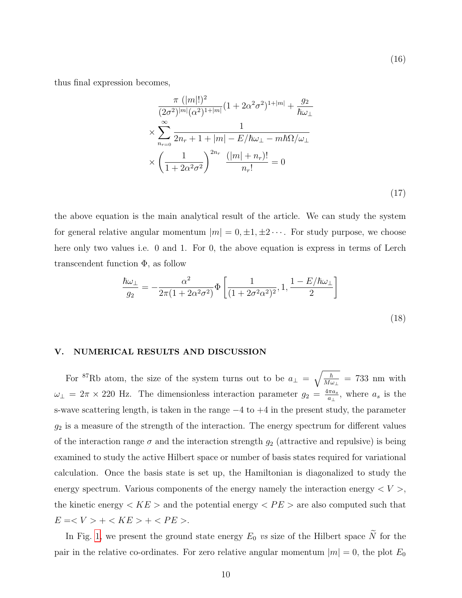(16)

thus final expression becomes,

<span id="page-9-2"></span><span id="page-9-1"></span>
$$
\frac{\pi (|m|!)^2}{(2\sigma^2)^{|m|}(\alpha^2)^{1+|m|}} (1 + 2\alpha^2 \sigma^2)^{1+|m|} + \frac{g_2}{\hbar \omega_{\perp}}
$$
  
\n
$$
\times \sum_{n_{r=0}}^{\infty} \frac{1}{2n_r + 1 + |m| - E/\hbar \omega_{\perp} - m\hbar \Omega/\omega_{\perp}}
$$
  
\n
$$
\times \left(\frac{1}{1 + 2\alpha^2 \sigma^2}\right)^{2n_r} \frac{(|m| + n_r)!}{n_r!} = 0
$$
\n(17)

the above equation is the main analytical result of the article. We can study the system for general relative angular momentum  $|m| = 0, \pm 1, \pm 2 \cdots$ . For study purpose, we choose here only two values i.e. 0 and 1. For 0, the above equation is express in terms of Lerch transcendent function  $\Phi$ , as follow

$$
\frac{\hbar\omega_{\perp}}{g_2} = -\frac{\alpha^2}{2\pi(1 + 2\alpha^2\sigma^2)} \Phi\left[\frac{1}{(1 + 2\sigma^2\alpha^2)^2}, 1, \frac{1 - E/\hbar\omega_{\perp}}{2}\right]
$$
\n(18)

#### <span id="page-9-0"></span>V. NUMERICAL RESULTS AND DISCUSSION

For <sup>87</sup>Rb atom, the size of the system turns out to be  $a_{\perp} = \sqrt{\frac{\hbar}{M a}}$  $\frac{\hbar}{M\omega_{\perp}} = 733$  nm with  $\omega_{\perp} = 2\pi \times 220$  Hz. The dimensionless interaction parameter  $g_2 = \frac{4\pi a_s}{a_{\perp}}$  $\frac{\pi a_s}{a_{\perp}},$  where  $a_s$  is the s-wave scattering length, is taken in the range  $-4$  to  $+4$  in the present study, the parameter  $g_2$  is a measure of the strength of the interaction. The energy spectrum for different values of the interaction range  $\sigma$  and the interaction strength  $g_2$  (attractive and repulsive) is being examined to study the active Hilbert space or number of basis states required for variational calculation. Once the basis state is set up, the Hamiltonian is diagonalized to study the energy spectrum. Various components of the energy namely the interaction energy  $\langle V \rangle$ , the kinetic energy  $\langle KE \rangle$  and the potential energy  $\langle PE \rangle$  are also computed such that  $E = < V > + < KE > + < PE >$ .

In Fig. [1,](#page-12-0) we present the ground state energy  $E_0$  vs size of the Hilbert space  $\widetilde{N}$  for the pair in the relative co-ordinates. For zero relative angular momentum  $|m| = 0$ , the plot  $E_0$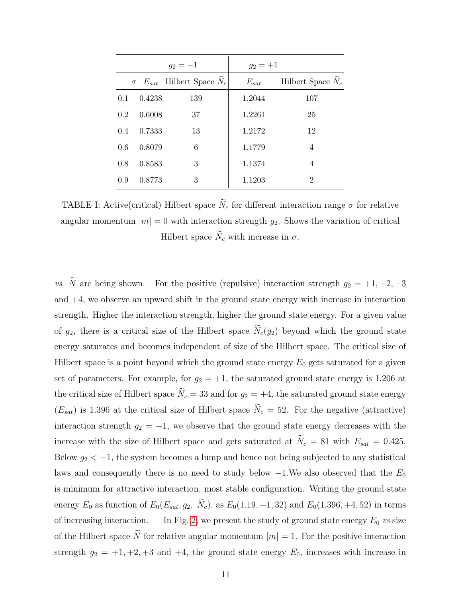<span id="page-10-0"></span>

|          |           | $g_2 = -1$          | $g_2 = +1$ |                     |
|----------|-----------|---------------------|------------|---------------------|
| $\sigma$ | $E_{sat}$ | Hilbert Space $N_c$ | $E_{sat}$  | Hilbert Space $N_c$ |
| 0.1      | 0.4238    | 139                 | 1.2044     | 107                 |
| 0.2      | 0.6008    | 37                  | 1.2261     | 25                  |
| 0.4      | 0.7333    | 13                  | 1.2172     | 12                  |
| 0.6      | 0.8079    | 6                   | 1.1779     | 4                   |
| 0.8      | 0.8583    | 3                   | 1.1374     | 4                   |
| 0.9      | 0.8773    | 3                   | 1.1203     | $\overline{2}$      |

TABLE I: Active(critical) Hilbert space  $\tilde{N}_c$  for different interaction range  $\sigma$  for relative angular momentum  $|m| = 0$  with interaction strength  $g_2$ . Shows the variation of critical Hilbert space  $\widetilde{N}_c$  with increase in  $\sigma$ .

vs  $\tilde{N}$  are being shown. For the positive (repulsive) interaction strength  $g_2 = +1, +2, +3$ and  $+4$ , we observe an upward shift in the ground state energy with increase in interaction strength. Higher the interaction strength, higher the ground state energy. For a given value of  $g_2$ , there is a critical size of the Hilbert space  $\widetilde{N}_c(g_2)$  beyond which the ground state energy saturates and becomes independent of size of the Hilbert space. The critical size of Hilbert space is a point beyond which the ground state energy  $E_0$  gets saturated for a given set of parameters. For example, for  $g_2 = +1$ , the saturated ground state energy is 1.206 at the critical size of Hilbert space  $\widetilde{N}_c = 33$  and for  $g_2 = +4$ , the saturated ground state energy  $(E_{sat})$  is 1.396 at the critical size of Hilbert space  $\tilde{N}_c = 52$ . For the negative (attractive) interaction strength  $g_2 = -1$ , we observe that the ground state energy decreases with the increase with the size of Hilbert space and gets saturated at  $N_c = 81$  with  $E_{sat} = 0.425$ . Below  $g_2 < -1$ , the system becomes a lump and hence not being subjected to any statistical laws and consequently there is no need to study below  $-1$ . We also observed that the  $E_0$ is minimum for attractive interaction, most stable configuration. Writing the ground state energy  $E_0$  as function of  $E_0(E_{sat}, g_2, \tilde{N}_c)$ , as  $E_0(1.19, +1, 32)$  and  $E_0(1.396, +4, 52)$  in terms of increasing interaction. In Fig. [2,](#page-13-0) we present the study of ground state energy  $E_0$  vs size of the Hilbert space  $\tilde{N}$  for relative angular momentum  $|m| = 1$ . For the positive interaction strength  $g_2 = +1, +2, +3$  and  $+4$ , the ground state energy  $E_0$ , increases with increase in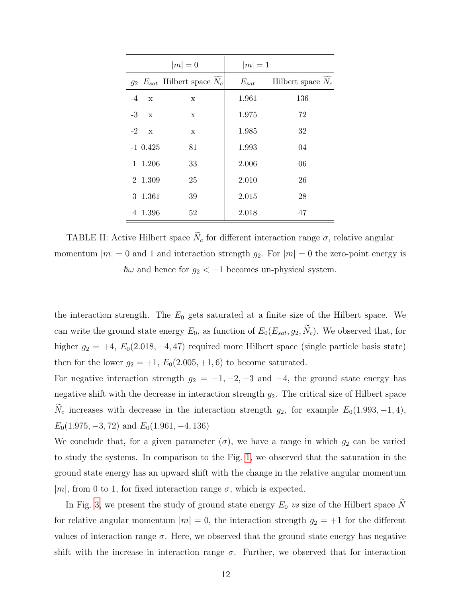| $ m =0$        |             | $ m =1$                       |           |                     |
|----------------|-------------|-------------------------------|-----------|---------------------|
| g <sub>2</sub> |             | $E_{sat}$ Hilbert space $N_c$ | $E_{sat}$ | Hilbert space $N_c$ |
| $-4$           | $\mathbf x$ | X                             | 1.961     | 136                 |
| $-3$           | $\mathbf x$ | X                             | 1.975     | 72                  |
| $-2$           | $\mathbf x$ | $\mathbf x$                   | 1.985     | 32                  |
| $-1$           | 0.425       | 81                            | 1.993     | 04                  |
| 1              | 1.206       | 33                            | 2.006     | 06                  |
| $\overline{2}$ | 1.309       | 25                            | 2.010     | 26                  |
| 3              | 1.361       | 39                            | 2.015     | 28                  |
| $\overline{4}$ | 1.396       | 52                            | 2.018     | 47                  |

TABLE II: Active Hilbert space  $\widetilde{N}_c$  for different interaction range  $\sigma$ , relative angular momentum  $|m| = 0$  and 1 and interaction strength  $g_2$ . For  $|m| = 0$  the zero-point energy is  $\hbar\omega$  and hence for  $g_2 < -1$  becomes un-physical system.

the interaction strength. The  $E_0$  gets saturated at a finite size of the Hilbert space. We can write the ground state energy  $E_0$ , as function of  $E_0(E_{sat}, g_2, \widetilde{N}_c)$ . We observed that, for higher  $g_2 = +4$ ,  $E_0(2.018, +4, 47)$  required more Hilbert space (single particle basis state) then for the lower  $g_2 = +1$ ,  $E_0(2.005, +1, 6)$  to become saturated.

For negative interaction strength  $g_2 = -1, -2, -3$  and  $-4$ , the ground state energy has negative shift with the decrease in interaction strength  $g_2$ . The critical size of Hilbert space  $\widetilde{N}_c$  increases with decrease in the interaction strength  $g_2$ , for example  $E_0(1.993, -1, 4)$ ,  $E_0(1.975, -3.72)$  and  $E_0(1.961, -4.136)$ 

We conclude that, for a given parameter  $(\sigma)$ , we have a range in which  $g_2$  can be varied to study the systems. In comparison to the Fig. [1,](#page-12-0) we observed that the saturation in the ground state energy has an upward shift with the change in the relative angular momentum |m|, from 0 to 1, for fixed interaction range  $\sigma$ , which is expected.

In Fig. [3,](#page-14-0) we present the study of ground state energy  $E_0$  vs size of the Hilbert space  $\widetilde{N}$ for relative angular momentum  $|m| = 0$ , the interaction strength  $g_2 = +1$  for the different values of interaction range  $\sigma$ . Here, we observed that the ground state energy has negative shift with the increase in interaction range  $\sigma$ . Further, we observed that for interaction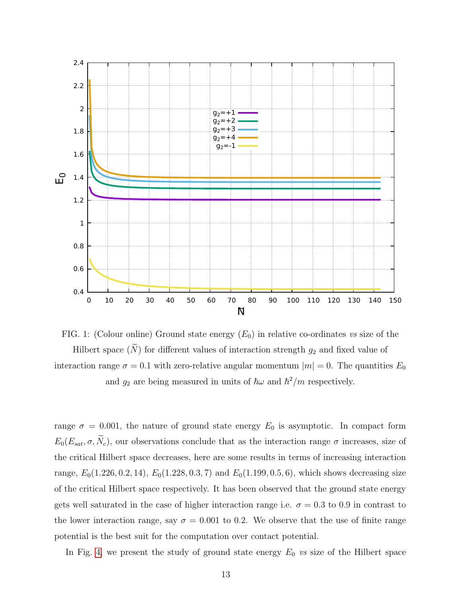<span id="page-12-0"></span>

FIG. 1: (Colour online) Ground state energy  $(E_0)$  in relative co-ordinates vs size of the Hilbert space  $(\widetilde{N})$  for different values of interaction strength  $g_2$  and fixed value of interaction range  $\sigma = 0.1$  with zero-relative angular momentum  $|m| = 0$ . The quantities  $E_0$ and  $g_2$  are being measured in units of  $\hbar\omega$  and  $\hbar^2/m$  respectively.

range  $\sigma = 0.001$ , the nature of ground state energy  $E_0$  is asymptotic. In compact form  $E_0(E_{sat}, \sigma, \tilde{N}_c)$ , our observations conclude that as the interaction range  $\sigma$  increases, size of the critical Hilbert space decreases, here are some results in terms of increasing interaction range,  $E_0(1.226, 0.2, 14)$ ,  $E_0(1.228, 0.3, 7)$  and  $E_0(1.199, 0.5, 6)$ , which shows decreasing size of the critical Hilbert space respectively. It has been observed that the ground state energy gets well saturated in the case of higher interaction range i.e.  $\sigma = 0.3$  to 0.9 in contrast to the lower interaction range, say  $\sigma = 0.001$  to 0.2. We observe that the use of finite range potential is the best suit for the computation over contact potential.

In Fig. [4,](#page-15-0) we present the study of ground state energy  $E_0$  vs size of the Hilbert space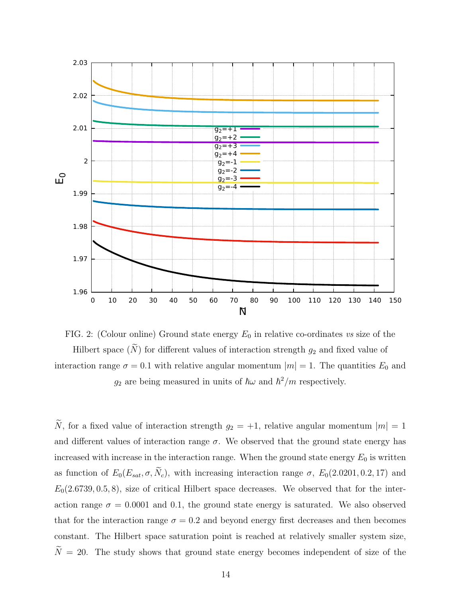<span id="page-13-0"></span>



 $\widetilde{N}$ , for a fixed value of interaction strength  $g_2 = +1$ , relative angular momentum  $|m| = 1$ and different values of interaction range  $\sigma$ . We observed that the ground state energy has increased with increase in the interaction range. When the ground state energy  $E_0$  is written as function of  $E_0(E_{sat}, \sigma, \tilde{N}_c)$ , with increasing interaction range  $\sigma$ ,  $E_0(2.0201, 0.2, 17)$  and  $E_0(2.6739, 0.5, 8)$ , size of critical Hilbert space decreases. We observed that for the interaction range  $\sigma = 0.0001$  and 0.1, the ground state energy is saturated. We also observed that for the interaction range  $\sigma = 0.2$  and beyond energy first decreases and then becomes constant. The Hilbert space saturation point is reached at relatively smaller system size,  $\widetilde{N} = 20$ . The study shows that ground state energy becomes independent of size of the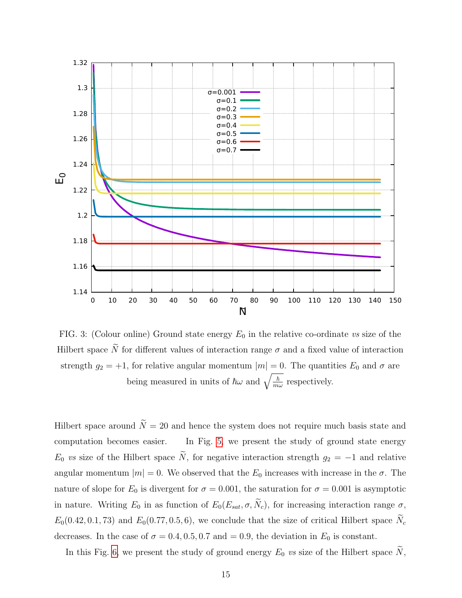<span id="page-14-0"></span>

FIG. 3: (Colour online) Ground state energy  $E_0$  in the relative co-ordinate vs size of the Hilbert space  $\widetilde{N}$  for different values of interaction range  $\sigma$  and a fixed value of interaction strength  $g_2 = +1$ , for relative angular momentum  $|m| = 0$ . The quantities  $E_0$  and  $\sigma$  are being measured in units of  $\hbar\omega$  and  $\sqrt{\frac{\hbar}{m}}$  $\frac{\hbar}{m\omega}$  respectively.

Hilbert space around  $\widetilde{N} = 20$  and hence the system does not require much basis state and computation becomes easier. In Fig. [5,](#page-16-0) we present the study of ground state energy  $E_0$  vs size of the Hilbert space  $\tilde{N}$ , for negative interaction strength  $g_2 = -1$  and relative angular momentum  $|m| = 0$ . We observed that the  $E_0$  increases with increase in the  $\sigma$ . The nature of slope for  $E_0$  is divergent for  $\sigma = 0.001$ , the saturation for  $\sigma = 0.001$  is asymptotic in nature. Writing  $E_0$  in as function of  $E_0(E_{sat}, \sigma, \tilde{N}_c)$ , for increasing interaction range  $\sigma$ ,  $E_0(0.42, 0.1, 73)$  and  $E_0(0.77, 0.5, 6)$ , we conclude that the size of critical Hilbert space  $N_c$ decreases. In the case of  $\sigma = 0.4, 0.5, 0.7$  and  $= 0.9$ , the deviation in  $E_0$  is constant.

In this Fig. [6,](#page-17-0) we present the study of ground energy  $E_0$  vs size of the Hilbert space  $\widetilde{N}$ ,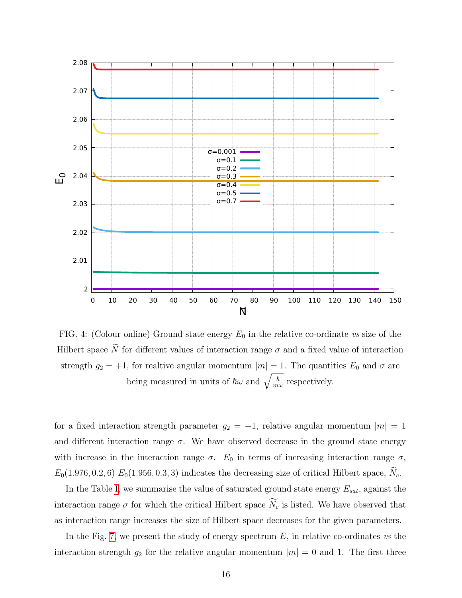<span id="page-15-0"></span>

FIG. 4: (Colour online) Ground state energy  $E_0$  in the relative co-ordinate vs size of the Hilbert space  $\widetilde{N}$  for different values of interaction range  $\sigma$  and a fixed value of interaction strength  $g_2 = +1$ , for realtive angular momentum  $|m| = 1$ . The quantities  $E_0$  and  $\sigma$  are being measured in units of  $\hbar\omega$  and  $\sqrt{\frac{\hbar}{m}}$  $\frac{\hbar}{m\omega}$  respectively.

for a fixed interaction strength parameter  $g_2 = -1$ , relative angular momentum  $|m| = 1$ and different interaction range  $\sigma$ . We have observed decrease in the ground state energy with increase in the interaction range  $\sigma$ .  $E_0$  in terms of increasing interaction range  $\sigma$ ,  $E_0(1.976, 0.2, 6)$   $E_0(1.956, 0.3, 3)$  indicates the decreasing size of critical Hilbert space,  $N_c$ .

In the Table [I,](#page-10-0) we summarise the value of saturated ground state energy  $E_{sat}$ , against the interaction range  $\sigma$  for which the critical Hilbert space  $\widetilde{N_c}$  is listed. We have observed that as interaction range increases the size of Hilbert space decreases for the given parameters.

In the Fig. [7,](#page-18-0) we present the study of energy spectrum  $E$ , in relative co-ordinates vs the interaction strength  $g_2$  for the relative angular momentum  $|m| = 0$  and 1. The first three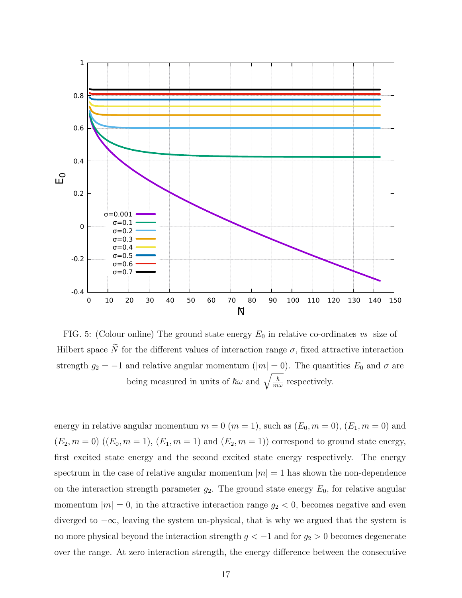<span id="page-16-0"></span>

FIG. 5: (Colour online) The ground state energy  $E_0$  in relative co-ordinates vs size of Hilbert space  $\widetilde{N}$  for the different values of interaction range  $\sigma$ , fixed attractive interaction strength  $g_2 = -1$  and relative angular momentum (|m| = 0). The quantities  $E_0$  and  $\sigma$  are being measured in units of  $\hbar\omega$  and  $\sqrt{\frac{\hbar}{m}}$  $\frac{\hbar}{m\omega}$  respectively.

energy in relative angular momentum  $m = 0$   $(m = 1)$ , such as  $(E_0, m = 0)$ ,  $(E_1, m = 0)$  and  $(E_2, m = 0) ((E_0, m = 1), (E_1, m = 1) \text{ and } (E_2, m = 1)) \text{ correspond to ground state energy,}$ first excited state energy and the second excited state energy respectively. The energy spectrum in the case of relative angular momentum  $|m| = 1$  has shown the non-dependence on the interaction strength parameter  $g_2$ . The ground state energy  $E_0$ , for relative angular momentum  $|m| = 0$ , in the attractive interaction range  $g_2 < 0$ , becomes negative and even diverged to  $-\infty$ , leaving the system un-physical, that is why we argued that the system is no more physical beyond the interaction strength  $g < -1$  and for  $g_2 > 0$  becomes degenerate over the range. At zero interaction strength, the energy difference between the consecutive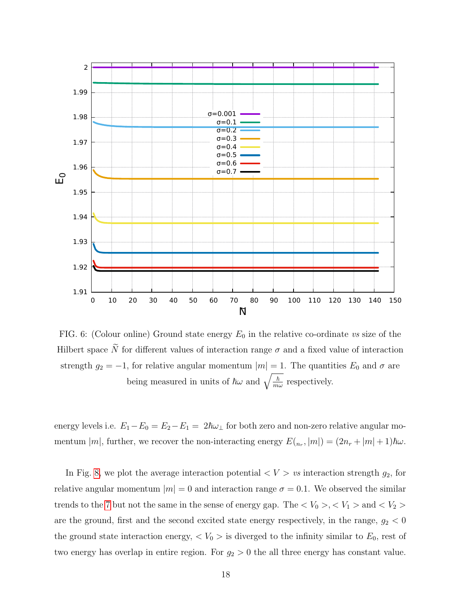<span id="page-17-0"></span>

FIG. 6: (Colour online) Ground state energy  $E_0$  in the relative co-ordinate vs size of the Hilbert space  $\widetilde{N}$  for different values of interaction range  $\sigma$  and a fixed value of interaction strength  $g_2 = -1$ , for relative angular momentum  $|m| = 1$ . The quantities  $E_0$  and  $\sigma$  are being measured in units of  $\hbar\omega$  and  $\sqrt{\frac{\hbar}{m}}$  $\frac{\hbar}{m\omega}$  respectively.

energy levels i.e.  $E_1 - E_0 = E_2 - E_1 = 2\hbar\omega_{\perp}$  for both zero and non-zero relative angular momentum  $|m|$ , further, we recover the non-interacting energy  $E(n_r, |m|) = (2n_r + |m| + 1)\hbar\omega$ .

In Fig. [8,](#page-19-0) we plot the average interaction potential  $\langle V \rangle$  vs interaction strength  $g_2$ , for relative angular momentum  $|m| = 0$  and interaction range  $\sigma = 0.1$ . We observed the similar trends to the [7](#page-18-0) but not the same in the sense of energy gap. The  $V_0 > V_1 >$  and  $V_2 >$ are the ground, first and the second excited state energy respectively, in the range,  $g_2 < 0$ the ground state interaction energy,  $\langle V_0 \rangle$  is diverged to the infinity similar to  $E_0$ , rest of two energy has overlap in entire region. For  $g_2 > 0$  the all three energy has constant value.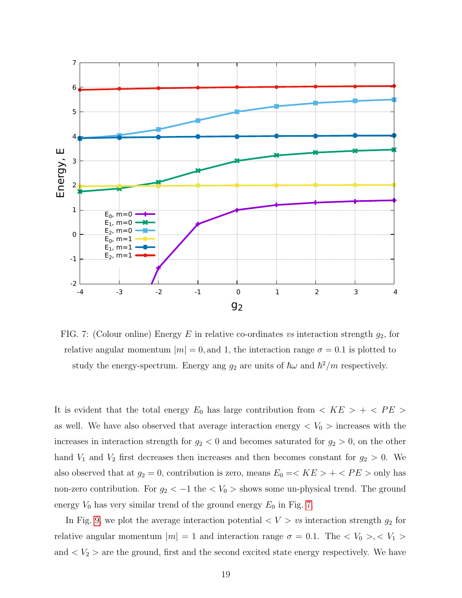<span id="page-18-0"></span>

FIG. 7: (Colour online) Energy E in relative co-ordinates vs interaction strength  $g_2$ , for relative angular momentum  $|m| = 0$ , and 1, the interaction range  $\sigma = 0.1$  is plotted to study the energy-spectrum. Energy ang  $g_2$  are units of  $\hbar\omega$  and  $\hbar^2/m$  respectively.

It is evident that the total energy  $E_0$  has large contribution from  $\langle KE \rangle + \langle PE \rangle$ as well. We have also observed that average interaction energy  $\langle V_0 \rangle$  increases with the increases in interaction strength for  $g_2 < 0$  and becomes saturated for  $g_2 > 0$ , on the other hand  $V_1$  and  $V_2$  first decreases then increases and then becomes constant for  $g_2 > 0$ . We also observed that at  $g_2 = 0$ , contribution is zero, means  $E_0 = \langle KE \rangle + \langle PE \rangle$  only has non-zero contribution. For  $g_2 < -1$  the  $V_0 >$  shows some un-physical trend. The ground energy  $V_0$  has very similar trend of the ground energy  $E_0$  in Fig. [7.](#page-18-0)

In Fig. [9,](#page-20-0) we plot the average interaction potential  $\langle V \rangle$  vs interaction strength  $g_2$  for relative angular momentum  $|m| = 1$  and interaction range  $\sigma = 0.1$ . The  $\langle V_0 \rangle, \langle V_1 \rangle$ and  $\langle V_2 \rangle$  are the ground, first and the second excited state energy respectively. We have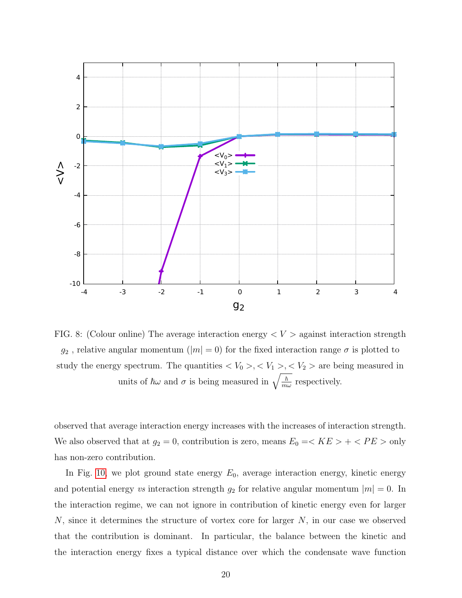<span id="page-19-0"></span>

FIG. 8: (Colour online) The average interaction energy  $\langle V \rangle$  against interaction strength  $g_2$ , relative angular momentum  $(|m| = 0)$  for the fixed interaction range  $\sigma$  is plotted to study the energy spectrum. The quantities  $\langle V_0 \rangle, \langle V_1 \rangle, \langle V_2 \rangle$  are being measured in units of  $\hbar \omega$  and  $\sigma$  is being measured in  $\sqrt{\frac{\hbar}{m}}$  $\frac{\hbar}{m\omega}$  respectively.

observed that average interaction energy increases with the increases of interaction strength. We also observed that at  $g_2 = 0$ , contribution is zero, means  $E_0 = \langle KE \rangle + \langle PE \rangle$  only has non-zero contribution.

In Fig. [10,](#page-21-0) we plot ground state energy  $E_0$ , average interaction energy, kinetic energy and potential energy vs interaction strength  $g_2$  for relative angular momentum  $|m| = 0$ . In the interaction regime, we can not ignore in contribution of kinetic energy even for larger N, since it determines the structure of vortex core for larger N, in our case we observed that the contribution is dominant. In particular, the balance between the kinetic and the interaction energy fixes a typical distance over which the condensate wave function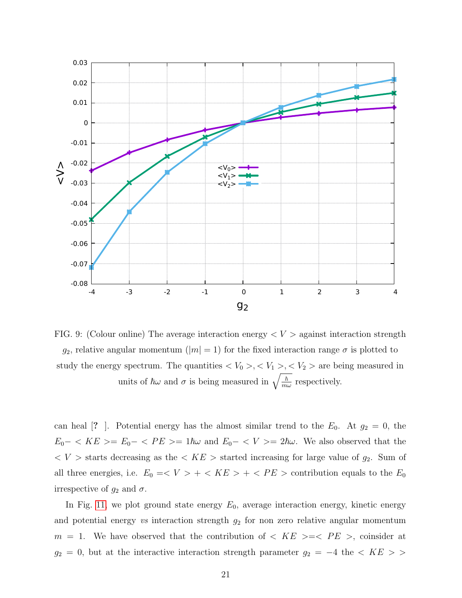<span id="page-20-0"></span>

FIG. 9: (Colour online) The average interaction energy  $\langle V \rangle$  against interaction strength g<sub>2</sub>, relative angular momentum ( $|m| = 1$ ) for the fixed interaction range  $\sigma$  is plotted to study the energy spectrum. The quantities  $\langle V_0 \rangle, \langle V_1 \rangle, \langle V_2 \rangle$  are being measured in units of  $\hbar \omega$  and  $\sigma$  is being measured in  $\sqrt{\frac{\hbar}{m}}$  $\frac{\hbar}{m\omega}$  respectively.

can heal [? ]. Potential energy has the almost similar trend to the  $E_0$ . At  $g_2 = 0$ , the  $E_0-$  <  $KE \ge E_0-$  <  $PE \ge 1\hbar\omega$  and  $E_0-$  <  $V \ge 2\hbar\omega$ . We also observed that the  $\langle V \rangle$  starts decreasing as the  $\langle KE \rangle$  started increasing for large value of  $g_2$ . Sum of all three energies, i.e.  $E_0 = \langle V \rangle + \langle KE \rangle + \langle PE \rangle$  contribution equals to the  $E_0$ irrespective of  $g_2$  and  $\sigma$ .

In Fig. [11,](#page-22-0) we plot ground state energy  $E_0$ , average interaction energy, kinetic energy and potential energy  $vs$  interaction strength  $g_2$  for non zero relative angular momentum  $m = 1$ . We have observed that the contribution of  $\langle KE \rangle \geq \langle PE \rangle$ , coinsider at  $g_2 = 0$ , but at the interactive interaction strength parameter  $g_2 = -4$  the  $\lt$  KE > >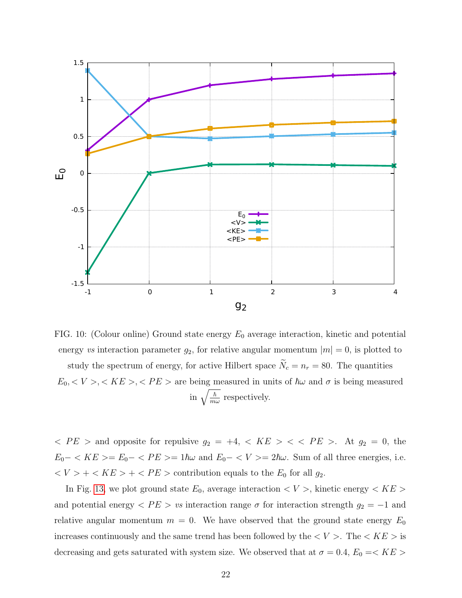<span id="page-21-0"></span>

FIG. 10: (Colour online) Ground state energy  $E_0$  average interaction, kinetic and potential energy vs interaction parameter  $g_2$ , for relative angular momentum  $|m| = 0$ , is plotted to study the spectrum of energy, for active Hilbert space  $\widetilde{N}_c = n_r = 80$ . The quantities  $E_0, \langle V \rangle, \langle KE \rangle, \langle PE \rangle$  are being measured in units of  $\hbar \omega$  and  $\sigma$  is being measured in  $\sqrt{\frac{\hbar}{m}}$  $\frac{\hbar}{m\omega}$  respectively.

 $\langle PE \rangle$  and opposite for repulsive  $g_2 = +4$ ,  $\langle KE \rangle < \langle PE \rangle$ . At  $g_2 = 0$ , the  $E_0 - \langle KE \rangle = E_0 - \langle PE \rangle = 1\hbar\omega$  and  $E_0 - \langle V \rangle = 2\hbar\omega$ . Sum of all three energies, i.e.  $\langle V \rangle + \langle KE \rangle + \langle PE \rangle$  contribution equals to the  $E_0$  for all  $g_2$ .

In Fig. [13,](#page-24-0) we plot ground state  $E_0$ , average interaction  $\lt V >$ , kinetic energy  $\lt KE >$ and potential energy  $\langle PE \rangle$  vs interaction range  $\sigma$  for interaction strength  $g_2 = -1$  and relative angular momentum  $m = 0$ . We have observed that the ground state energy  $E_0$ increases continuously and the same trend has been followed by the  $\langle V \rangle$ . The  $\langle KE \rangle$  is decreasing and gets saturated with system size. We observed that at  $\sigma = 0.4, E_0 = < KE>$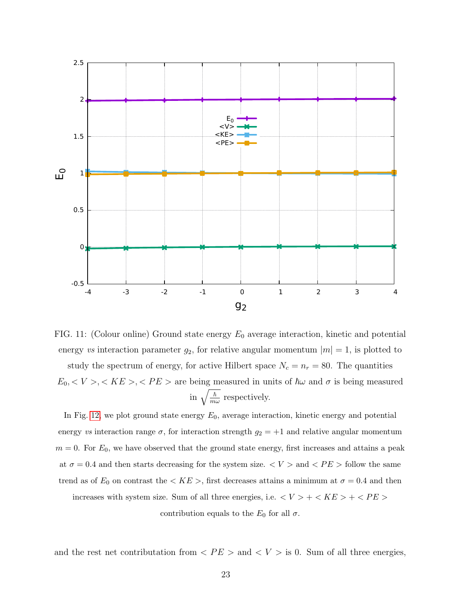<span id="page-22-0"></span>

FIG. 11: (Colour online) Ground state energy  $E_0$  average interaction, kinetic and potential energy vs interaction parameter  $g_2$ , for relative angular momentum  $|m|=1$ , is plotted to study the spectrum of energy, for active Hilbert space  $N_c = n_r = 80$ . The quantities  $E_0, \langle V \rangle, \langle KE \rangle, \langle PE \rangle$  are being measured in units of  $\hbar \omega$  and  $\sigma$  is being measured in  $\sqrt{\frac{\hbar}{m}}$  $\frac{\hbar}{m\omega}$  respectively.

In Fig. [12,](#page-23-0) we plot ground state energy  $E_0$ , average interaction, kinetic energy and potential energy vs interaction range  $\sigma$ , for interaction strength  $g_2 = +1$  and relative angular momentum  $m = 0$ . For  $E_0$ , we have observed that the ground state energy, first increases and attains a peak at  $\sigma = 0.4$  and then starts decreasing for the system size.  $\langle V \rangle$  and  $\langle PE \rangle$  follow the same trend as of  $E_0$  on contrast the  $\langle KE \rangle$ , first decreases attains a minimum at  $\sigma = 0.4$  and then increases with system size. Sum of all three energies, i.e.  $< V > + < K E > + < P E >$ contribution equals to the  $E_0$  for all  $\sigma$ .

and the rest net contributation from  $\langle PE \rangle$  and  $\langle V \rangle$  is 0. Sum of all three energies,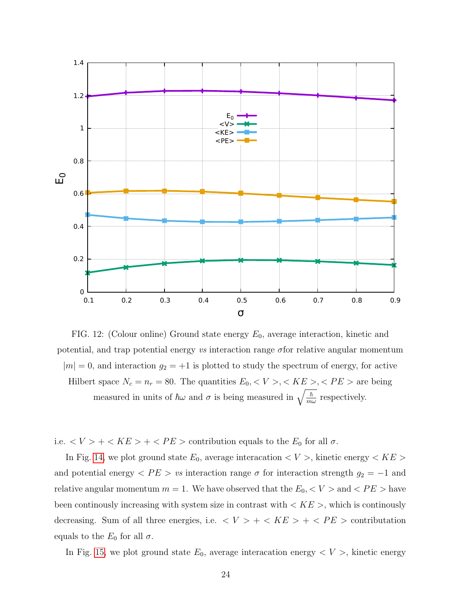<span id="page-23-0"></span>

FIG. 12: (Colour online) Ground state energy  $E_0$ , average interaction, kinetic and potential, and trap potential energy vs interaction range  $\sigma$  for relative angular momentum  $|m| = 0$ , and interaction  $g_2 = +1$  is plotted to study the spectrum of energy, for active Hilbert space  $N_c = n_r = 80$ . The quantities  $E_0, \langle V \rangle, \langle KE \rangle, \langle PE \rangle$  are being measured in units of  $\hbar\omega$  and  $\sigma$  is being measured in  $\sqrt{\frac{\hbar}{m}}$  $\frac{\hbar}{m\omega}$  respectively.

i.e.  $\langle V \rangle + \langle KE \rangle + \langle PE \rangle$  contribution equals to the  $E_0$  for all  $\sigma$ .

In Fig. [14,](#page-25-0) we plot ground state  $E_0$ , average interacation  $\lt V >$ , kinetic energy  $\lt KE >$ and potential energy  $\langle PE \rangle$  vs interaction range  $\sigma$  for interaction strength  $g_2 = -1$  and relative angular momentum  $m = 1$ . We have observed that the  $E_0, \langle V \rangle$  and  $\langle PE \rangle$  have been continously increasing with system size in contrast with  $\langle KE \rangle$ , which is continously decreasing. Sum of all three energies, i.e.  $\langle V \rangle + \langle KE \rangle + \langle PE \rangle$  contributation equals to the  $E_0$  for all  $\sigma$ .

In Fig. [15,](#page-26-1) we plot ground state  $E_0$ , average interacation energy  $\langle V \rangle$ , kinetic energy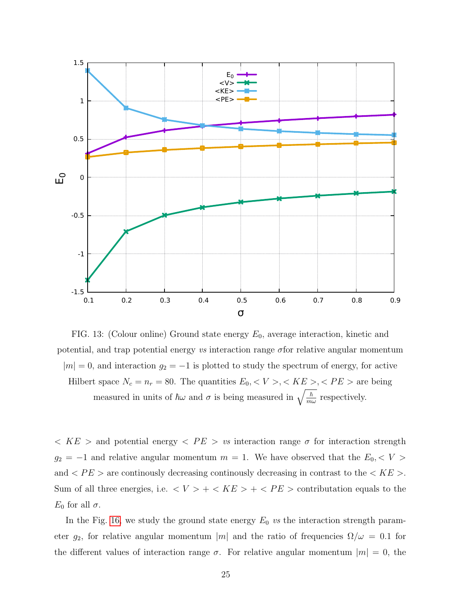<span id="page-24-0"></span>

FIG. 13: (Colour online) Ground state energy  $E_0$ , average interaction, kinetic and potential, and trap potential energy vs interaction range  $\sigma$  for relative angular momentum  $|m| = 0$ , and interaction  $g_2 = -1$  is plotted to study the spectrum of energy, for active Hilbert space  $N_c = n_r = 80$ . The quantities  $E_0, \langle V \rangle, \langle KE \rangle, \langle PE \rangle$  are being measured in units of  $\hbar\omega$  and  $\sigma$  is being measured in  $\sqrt{\frac{\hbar}{m}}$  $\frac{\hbar}{m\omega}$  respectively.

 $\langle KE \rangle$  and potential energy  $\langle PE \rangle$  vs interaction range  $\sigma$  for interaction strength  $g_2 = -1$  and relative angular momentum  $m = 1$ . We have observed that the  $E_0, \langle V \rangle$ and  $\langle PE \rangle$  are continously decreasing continously decreasing in contrast to the  $\langle KE \rangle$ . Sum of all three energies, i.e.  $\langle V \rangle + \langle KE \rangle + \langle PE \rangle$  contributation equals to the  $E_0$  for all  $\sigma$ .

In the Fig. [16,](#page-27-0) we study the ground state energy  $E_0$  vs the interaction strength parameter  $g_2$ , for relative angular momentum |m| and the ratio of frequencies  $\Omega/\omega = 0.1$  for the different values of interaction range  $\sigma$ . For relative angular momentum  $|m| = 0$ , the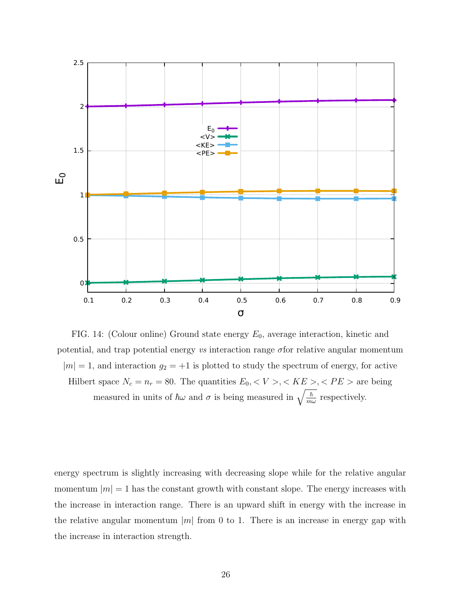<span id="page-25-0"></span>

FIG. 14: (Colour online) Ground state energy  $E_0$ , average interaction, kinetic and potential, and trap potential energy vs interaction range  $\sigma$  for relative angular momentum  $|m| = 1$ , and interaction  $g_2 = +1$  is plotted to study the spectrum of energy, for active Hilbert space  $N_c = n_r = 80$ . The quantities  $E_0, \langle V \rangle, \langle KE \rangle, \langle PE \rangle$  are being measured in units of  $\hbar\omega$  and  $\sigma$  is being measured in  $\sqrt{\frac{\hbar}{m}}$  $\frac{\hbar}{m\omega}$  respectively.

energy spectrum is slightly increasing with decreasing slope while for the relative angular momentum  $|m| = 1$  has the constant growth with constant slope. The energy increases with the increase in interaction range. There is an upward shift in energy with the increase in the relative angular momentum  $|m|$  from 0 to 1. There is an increase in energy gap with the increase in interaction strength.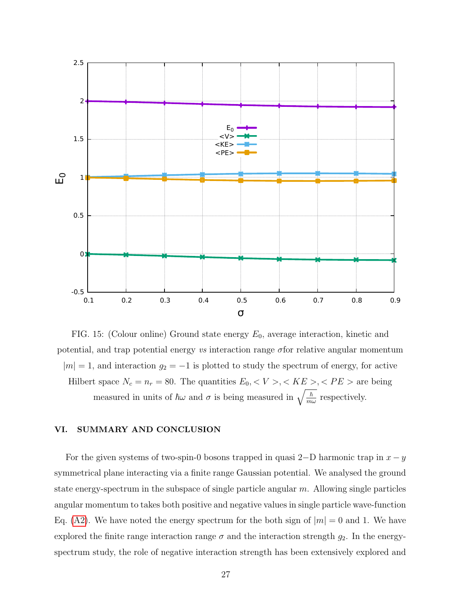<span id="page-26-1"></span>

FIG. 15: (Colour online) Ground state energy  $E_0$ , average interaction, kinetic and potential, and trap potential energy vs interaction range  $\sigma$  for relative angular momentum  $|m| = 1$ , and interaction  $g_2 = -1$  is plotted to study the spectrum of energy, for active Hilbert space  $N_c = n_r = 80$ . The quantities  $E_0, \langle V \rangle, \langle KE \rangle, \langle PE \rangle$  are being measured in units of  $\hbar\omega$  and  $\sigma$  is being measured in  $\sqrt{\frac{\hbar}{m}}$  $\frac{\hbar}{m\omega}$  respectively.

## <span id="page-26-0"></span>VI. SUMMARY AND CONCLUSION

For the given systems of two-spin-0 bosons trapped in quasi 2–D harmonic trap in  $x - y$ symmetrical plane interacting via a finite range Gaussian potential. We analysed the ground state energy-spectrum in the subspace of single particle angular  $m$ . Allowing single particles angular momentum to takes both positive and negative values in single particle wave-function Eq. [\(A2\)](#page-28-1). We have noted the energy spectrum for the both sign of  $|m| = 0$  and 1. We have explored the finite range interaction range  $\sigma$  and the interaction strength  $g_2$ . In the energyspectrum study, the role of negative interaction strength has been extensively explored and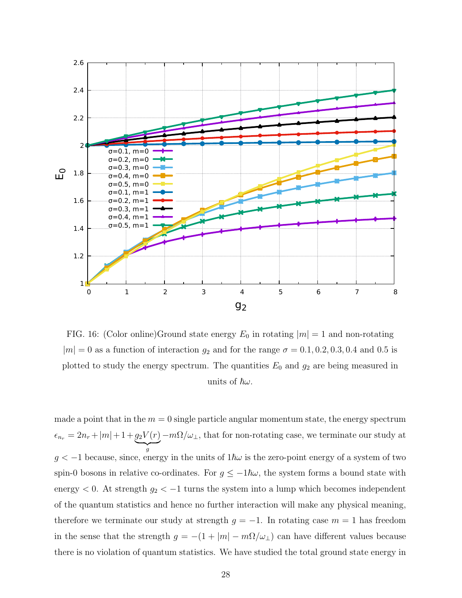<span id="page-27-0"></span>

FIG. 16: (Color online)Ground state energy  $E_0$  in rotating  $|m|=1$  and non-rotating  $|m| = 0$  as a function of interaction  $g_2$  and for the range  $\sigma = 0.1, 0.2, 0.3, 0.4$  and 0.5 is plotted to study the energy spectrum. The quantities  $E_0$  and  $g_2$  are being measured in units of  $\hbar\omega$ .

made a point that in the  $m = 0$  single particle angular momentum state, the energy spectrum  $\epsilon_{n_r} = 2n_r + |m| + 1 + g_2 V(r)$  $\overline{q}$ g  $-m\Omega/\omega_{\perp}$ , that for non-rotating case, we terminate our study at  $g < -1$  because, since, energy in the units of  $1\hbar\omega$  is the zero-point energy of a system of two spin-0 bosons in relative co-ordinates. For  $g \leq -1\hbar\omega$ , the system forms a bound state with energy  $< 0$ . At strength  $g_2 < -1$  turns the system into a lump which becomes independent of the quantum statistics and hence no further interaction will make any physical meaning, therefore we terminate our study at strength  $g = -1$ . In rotating case  $m = 1$  has freedom in the sense that the strength  $g = -(1 + |m| - m\Omega/\omega_{\perp})$  can have different values because there is no violation of quantum statistics. We have studied the total ground state energy in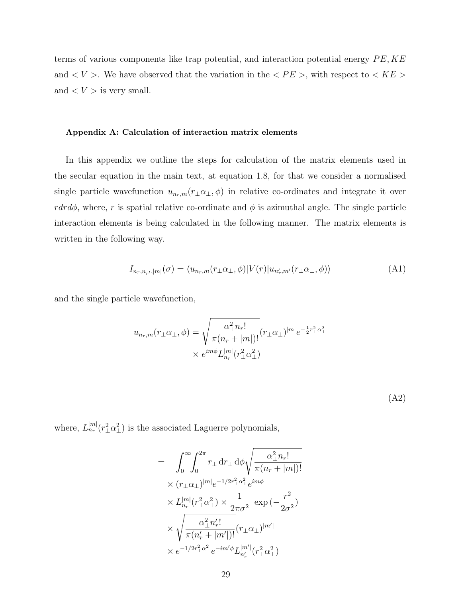terms of various components like trap potential, and interaction potential energy  $PE, KE$ and  $\lt V$  >. We have observed that the variation in the  $\lt PE$  >, with respect to  $\lt KE$  > and  $\langle V \rangle$  is very small.

#### <span id="page-28-0"></span>Appendix A: Calculation of interaction matrix elements

In this appendix we outline the steps for calculation of the matrix elements used in the secular equation in the main text, at equation 1.8, for that we consider a normalised single particle wavefunction  $u_{n_r,m}(r_\perp\alpha_\perp,\phi)$  in relative co-ordinates and integrate it over rdrd $\phi$ , where, r is spatial relative co-ordinate and  $\phi$  is azimuthal angle. The single particle interaction elements is being calculated in the following manner. The matrix elements is written in the following way.

$$
I_{n_r,n_{r'},|m|}(\sigma) = \langle u_{n_r,m}(r_{\perp}\alpha_{\perp},\phi)|V(r)|u_{n'_r,m'}(r_{\perp}\alpha_{\perp},\phi)\rangle
$$
(A1)

and the single particle wavefunction,

$$
u_{n_r,m}(r_\perp \alpha_\perp, \phi) = \sqrt{\frac{\alpha_\perp^2 n_r!}{\pi (n_r + |m|)!}} (r_\perp \alpha_\perp)^{|m|} e^{-\frac{1}{2}r_\perp^2 \alpha_\perp^2}
$$

$$
\times e^{im\phi} L_{n_r}^{|m|}(r_\perp^2 \alpha_\perp^2)
$$

(A2)

where,  $L_{n_r}^{|m|}(r_{\perp}^2 \alpha_{\perp}^2)$  is the associated Laguerre polynomials,

<span id="page-28-1"></span>
$$
= \int_0^{\infty} \int_0^{2\pi} r_{\perp} dr_{\perp} d\phi \sqrt{\frac{\alpha_{\perp}^2 n_r!}{\pi (n_r + |m|)!}} \times (r_{\perp} \alpha_{\perp})^{|m|} e^{-1/2r_{\perp}^2 \alpha_{\perp}^2} e^{im\phi} \times L_{n_r}^{|m|} (r_{\perp}^2 \alpha_{\perp}^2) \times \frac{1}{2\pi \sigma^2} \exp(-\frac{r^2}{2\sigma^2}) \times \sqrt{\frac{\alpha_{\perp}^2 n'_r!}{\pi (n'_r + |m'|)!}} (r_{\perp} \alpha_{\perp})^{|m'|} \times e^{-1/2r_{\perp}^2 \alpha_{\perp}^2} e^{-im'\phi} L_{n'_r}^{|m'|} (r_{\perp}^2 \alpha_{\perp}^2)
$$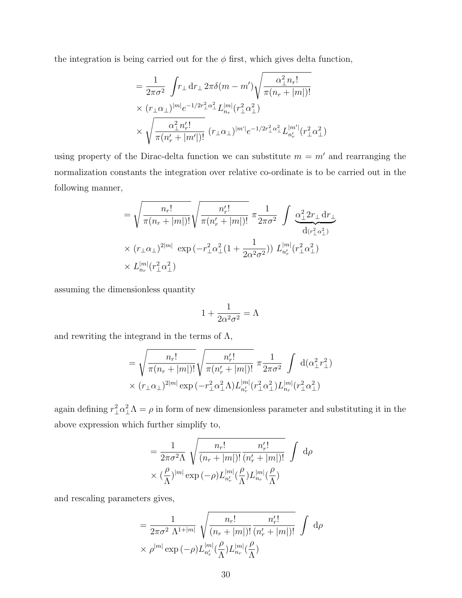the integration is being carried out for the  $\phi$  first, which gives delta function,

$$
= \frac{1}{2\pi\sigma^2} \int r_{\perp} dr_{\perp} 2\pi\delta(m - m') \sqrt{\frac{\alpha_{\perp}^2 n_r!}{\pi(n_r + |m|)!}} \times (r_{\perp}\alpha_{\perp})^{|m|} e^{-1/2r_{\perp}^2 \alpha_{\perp}^2} L_{n_r}^{|m|} (r_{\perp}^2 \alpha_{\perp}^2) \times \sqrt{\frac{\alpha_{\perp}^2 n'_r!}{\pi(n'_r + |m'|)!}} (r_{\perp}\alpha_{\perp})^{|m'|} e^{-1/2r_{\perp}^2 \alpha_{\perp}^2} L_{n'_r}^{|m'|} (r_{\perp}^2 \alpha_{\perp}^2)
$$

using property of the Dirac-delta function we can substitute  $m = m'$  and rearranging the normalization constants the integration over relative co-ordinate is to be carried out in the following manner,

$$
= \sqrt{\frac{n_r!}{\pi (n_r + |m|)!}} \sqrt{\frac{n'_r!}{\pi (n'_r + |m|)!}} \pi \frac{1}{2\pi\sigma^2} \int \frac{\alpha_\perp^2 2r_\perp dr_\perp}{dr_{\perp}^2} d(r_{\perp}^2 \alpha_\perp^2)}{\alpha(r_{\perp}^2 \alpha_\perp^2)} \times (r_\perp \alpha_\perp)^{2|m|} \exp(-r_\perp^2 \alpha_\perp^2 (1 + \frac{1}{2\alpha^2 \sigma^2})) L_{n'_r}^{|m|}(r_{\perp}^2 \alpha_\perp^2)}
$$
  
 
$$
\times L_{n_r}^{|m|}(r_{\perp}^2 \alpha_\perp^2)
$$

assuming the dimensionless quantity

$$
1 + \frac{1}{2\alpha^2 \sigma^2} = \Lambda
$$

and rewriting the integrand in the terms of  $\Lambda$ ,

$$
= \sqrt{\frac{n_r!}{\pi (n_r + |m|)!}} \sqrt{\frac{n'_r!}{\pi (n'_r + |m|)!}} \pi \frac{1}{2\pi\sigma^2} \int d(\alpha_\perp^2 r_\perp^2) \times (r_\perp \alpha_\perp)^{2|m|} \exp(-r_\perp^2 \alpha_\perp^2 \Lambda) L_{n'_r}^{|m|} (r_\perp^2 \alpha_\perp^2) L_{n_r}^{|m|} (r_\perp^2 \alpha_\perp^2)
$$

again defining  $r_{\perp}^2 \alpha_{\perp}^2 \Lambda = \rho$  in form of new dimensionless parameter and substituting it in the above expression which further simplify to,

$$
= \frac{1}{2\pi\sigma^2\Lambda} \sqrt{\frac{n_r!}{(n_r+|m|)!} \frac{n'_r!}{(n'_r+|m|)!}} \int d\rho
$$
  
 
$$
\times (\frac{\rho}{\Lambda})^{|m|} \exp(-\rho) L_{n'_r}^{|m|}(\frac{\rho}{\Lambda}) L_{n_r}^{|m|}(\frac{\rho}{\Lambda})
$$

and rescaling parameters gives,

$$
= \frac{1}{2\pi\sigma^2 \Lambda^{1+|m|}} \sqrt{\frac{n_r!}{(n_r+|m|)!} \frac{n'_r!}{(n'_r+|m|)!}} \int d\rho
$$
  
  $\times \rho^{|m|} \exp(-\rho) L_{n'_r}^{|m|}(\frac{\rho}{\Lambda}) L_{n_r}^{|m|}(\frac{\rho}{\Lambda})$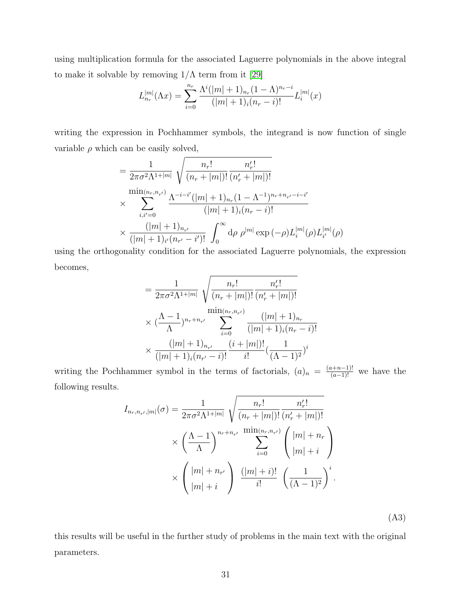using multiplication formula for the associated Laguerre polynomials in the above integral to make it solvable by removing  $1/\Lambda$  term from it [\[29\]](#page-34-0)

$$
L_{n_r}^{|m|}(\Lambda x) = \sum_{i=0}^{n_r} \frac{\Lambda^i (|m|+1)_{n_r} (1-\Lambda)^{n_r-i}}{(|m|+1)_i (n_r-i)!} L_i^{|m|}(x)
$$

writing the expression in Pochhammer symbols, the integrand is now function of single variable  $\rho$  which can be easily solved,

$$
= \frac{1}{2\pi\sigma^2\Lambda^{1+|m|}} \sqrt{\frac{n_r!}{(n_r+|m|)!} \frac{n'_r!}{(n'_r+|m|)!}}
$$
  
 
$$
\times \sum_{i,i'=0}^{\min(n_r,n_{r'})} \frac{\Lambda^{-i-i'}(|m|+1)_{n_r}(1-\Lambda^{-1})^{n_r+n_{r'}-i-i'}}{(|m|+1)_{i}(n_r-i)!}
$$
  
 
$$
\times \frac{(|m|+1)_{n_{r'}}}{(|m|+1)_{i'}(n_{r'}-i')!} \int_0^\infty d\rho \rho^{|m|} \exp(-\rho)L_i^{|m|}(\rho)L_{i'}^{|m|}(\rho)
$$

using the orthogonality condition for the associated Laguerre polynomials, the expression becomes,

$$
= \frac{1}{2\pi\sigma^2\Lambda^{1+|m|}} \sqrt{\frac{n_r!}{(n_r+|m|)!} \frac{n'_r!}{(n'_r+|m|)!}}
$$

$$
\times (\frac{\Lambda-1}{\Lambda})^{n_r+n_{r'}} \sum_{i=0}^{\min(n_r,n_{r'})} \frac{(|m|+1)_{n_r}}{(|m|+1)_{i}(n_r-i)!}
$$

$$
\times \frac{(|m|+1)_{n_{r'}}}{(|m|+1)_{i}(n_{r'}-i)!} \frac{(i+|m|)!}{i!} (\frac{1}{(\Lambda-1)^2})^i
$$

writing the Pochhammer symbol in the terms of factorials,  $(a)_n = \frac{(a+n-1)!}{(a-1)!}$  we have the following results.

$$
I_{n_r, n_{r'}, |m|}(\sigma) = \frac{1}{2\pi\sigma^2\Lambda^{1+|m|}} \sqrt{\frac{n_r!}{(n_r + |m|)!} \frac{n'_r!}{(n'_r + |m|)!}} \times \left(\frac{\Lambda - 1}{\Lambda}\right)^{n_r + n_{r'}} \frac{\min(n_r, n_{r'})}{\sum_{i=0}^{\infty} \left(\frac{|m| + n_r}{|m| + i}\right)} \times \left(\frac{|m| + n_{r'}}{|m| + i}\right) \frac{(|m| + i)!}{i!} \left(\frac{1}{(\Lambda - 1)^2}\right)^i.
$$

(A3)

this results will be useful in the further study of problems in the main text with the original parameters.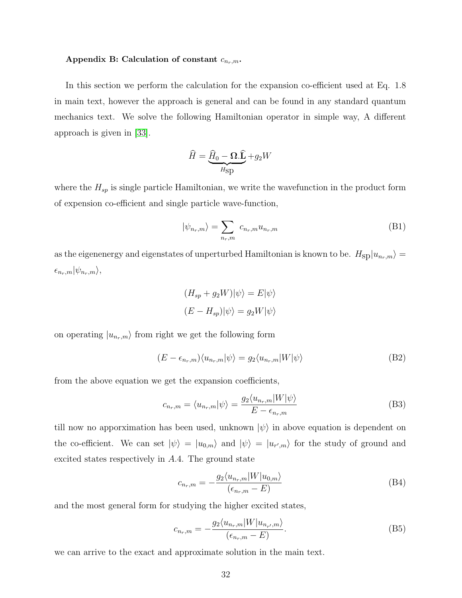# <span id="page-31-0"></span>Appendix B: Calculation of constant  $c_{n_r,m}$ .

In this section we perform the calculation for the expansion co-efficient used at Eq. 1.8 in main text, however the approach is general and can be found in any standard quantum mechanics text. We solve the following Hamiltonian operator in simple way, A different approach is given in [\[33\]](#page-34-1).

$$
\widehat{H} = \underbrace{\widehat{H}_0 - \mathbf{\Omega}.\widehat{\mathbf{L}}}_{H\text{sp}} + g_2 W
$$

where the  $H_{sp}$  is single particle Hamiltonian, we write the wavefunction in the product form of expension co-efficient and single particle wave-function,

$$
|\psi_{n_r,m}\rangle = \sum_{n_r,m} c_{n_r,m} u_{n_r,m} \tag{B1}
$$

as the eigenenergy and eigenstates of unperturbed Hamiltonian is known to be.  $H_{\rm SD}|u_{n_r,m}\rangle =$  $\epsilon_{n_r,m}|\psi_{n_r,m}\rangle,$ 

$$
(H_{sp} + g_2 W)|\psi\rangle = E|\psi\rangle
$$
  

$$
(E - H_{sp})|\psi\rangle = g_2 W|\psi\rangle
$$

on operating  $|u_{n_r,m}\rangle$  from right we get the following form

$$
(E - \epsilon_{n_r,m}) \langle u_{n_r,m} | \psi \rangle = g_2 \langle u_{n_r,m} | W | \psi \rangle \tag{B2}
$$

from the above equation we get the expansion coefficients,

$$
c_{n_r,m} = \langle u_{n_r,m} | \psi \rangle = \frac{g_2 \langle u_{n_r,m} | W | \psi \rangle}{E - \epsilon_{n_r,m}}
$$
(B3)

till now no apporximation has been used, unknown  $|\psi\rangle$  in above equation is dependent on the co-efficient. We can set  $|\psi\rangle = |u_{0,m}\rangle$  and  $|\psi\rangle = |u_{r',m}\rangle$  for the study of ground and excited states respectively in A.4. The ground state

$$
c_{n_r,m} = -\frac{g_2 \langle u_{n_r,m} | W | u_{0,m} \rangle}{(\epsilon_{n_r,m} - E)}
$$
(B4)

and the most general form for studying the higher excited states,

$$
c_{n_r,m} = -\frac{g_2 \langle u_{n_r,m} | W | u_{n_{r'},m} \rangle}{(\epsilon_{n_r,m} - E)}.
$$
\n(B5)

we can arrive to the exact and approximate solution in the main text.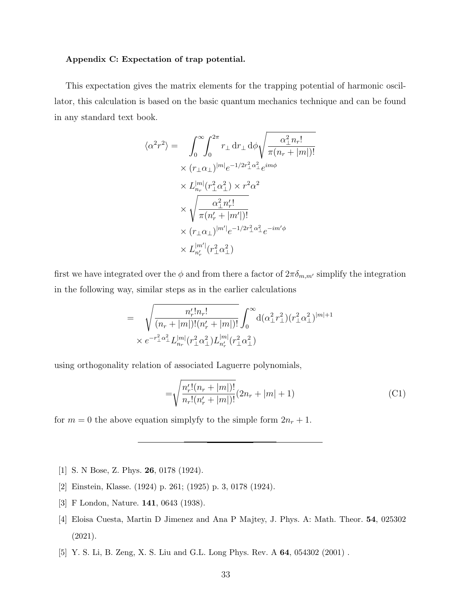#### Appendix C: Expectation of trap potential.

This expectation gives the matrix elements for the trapping potential of harmonic oscillator, this calculation is based on the basic quantum mechanics technique and can be found in any standard text book.

$$
\langle \alpha^2 r^2 \rangle = \int_0^\infty \int_0^{2\pi} r_\perp dr_\perp d\phi \sqrt{\frac{\alpha_\perp^2 n_r!}{\pi (n_r + |m|)!}}
$$
  
 
$$
\times (r_\perp \alpha_\perp)^{|m|} e^{-1/2r_\perp^2 \alpha_\perp^2} e^{im\phi}
$$
  
 
$$
\times L_{n_r}^{|m|} (r_\perp^2 \alpha_\perp^2) \times r^2 \alpha^2
$$
  
 
$$
\times \sqrt{\frac{\alpha_\perp^2 n_r!}{\pi (n_r' + |m'|)!}}
$$
  
 
$$
\times (r_\perp \alpha_\perp)^{|m'|} e^{-1/2r_\perp^2 \alpha_\perp^2} e^{-im'\phi}
$$
  
 
$$
\times L_{n_r'}^{|m'|} (r_\perp^2 \alpha_\perp^2)
$$

first we have integrated over the  $\phi$  and from there a factor of  $2\pi\delta_{m,m'}$  simplify the integration in the following way, similar steps as in the earlier calculations

$$
= \sqrt{\frac{n'_r! n_r!}{(n_r+|m|)!(n'_r+|m|)!}} \int_0^\infty d(\alpha_\perp^2 r_\perp^2) (r_\perp^2 \alpha_\perp^2)^{|m|+1} \times e^{-r_\perp^2 \alpha_\perp^2} L_{n_r}^{|m|} (r_\perp^2 \alpha_\perp^2) L_{n'_r}^{|m|} (r_\perp^2 \alpha_\perp^2)
$$

using orthogonality relation of associated Laguerre polynomials,

$$
=\sqrt{\frac{n'_r!(n_r+|m|)!}{n_r!(n'_r+|m|)!}}(2n_r+|m|+1)
$$
\n(C1)

for  $m = 0$  the above equation simplyfy to the simple form  $2n_r + 1$ .

- <span id="page-32-1"></span><span id="page-32-0"></span>[1] S. N Bose, Z. Phys. 26, 0178 (1924).
- <span id="page-32-2"></span>[2] Einstein, Klasse. (1924) p. 261; (1925) p. 3, 0178 (1924).
- <span id="page-32-3"></span>[3] F London, Nature. 141, 0643 (1938).
- [4] Eloisa Cuesta, Martin D Jimenez and Ana P Majtey, J. Phys. A: Math. Theor. 54, 025302 (2021).
- [5] Y. S. Li, B. Zeng, X. S. Liu and G.L. Long Phys. Rev. A 64, 054302 (2001) .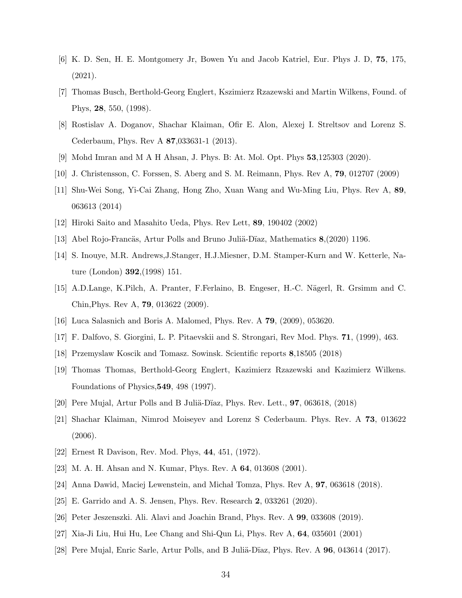- <span id="page-33-0"></span>[6] K. D. Sen, H. E. Montgomery Jr, Bowen Yu and Jacob Katriel, Eur. Phys J. D, 75, 175, (2021).
- <span id="page-33-1"></span>[7] Thomas Busch, Berthold-Georg Englert, Kszimierz Rzazewski and Martin Wilkens, Found. of Phys, 28, 550, (1998).
- <span id="page-33-2"></span>[8] Rostislav A. Doganov, Shachar Klaiman, Ofir E. Alon, Alexej I. Streltsov and Lorenz S. Cederbaum, Phys. Rev A 87,033631-1 (2013).
- <span id="page-33-4"></span><span id="page-33-3"></span>[9] Mohd Imran and M A H Ahsan, J. Phys. B: At. Mol. Opt. Phys 53,125303 (2020).
- <span id="page-33-5"></span>[10] J. Christensson, C. Forssen, S. Aberg and S. M. Reimann, Phys. Rev A, 79, 012707 (2009)
- [11] Shu-Wei Song, Yi-Cai Zhang, Hong Zho, Xuan Wang and Wu-Ming Liu, Phys. Rev A, 89, 063613 (2014)
- <span id="page-33-7"></span><span id="page-33-6"></span>[12] Hiroki Saito and Masahito Ueda, Phys. Rev Lett, 89, 190402 (2002)
- <span id="page-33-8"></span>[13] Abel Rojo-Francäs, Artur Polls and Bruno Juliä-Dïaz, Mathematics  $8,(2020)$  1196.
- [14] S. Inouye, M.R. Andrews,J.Stanger, H.J.Miesner, D.M. Stamper-Kurn and W. Ketterle, Nature (London) 392,(1998) 151.
- [15] A.D.Lange, K.Pilch, A. Pranter, F.Ferlaino, B. Engeser, H.-C. N¨agerl, R. Grsimm and C. Chin,Phys. Rev A, 79, 013622 (2009).
- <span id="page-33-10"></span><span id="page-33-9"></span>[16] Luca Salasnich and Boris A. Malomed, Phys. Rev. A 79, (2009), 053620.
- <span id="page-33-11"></span>[17] F. Dalfovo, S. Giorgini, L. P. Pitaevskii and S. Strongari, Rev Mod. Phys. 71, (1999), 463.
- [18] Przemyslaw Koscik and Tomasz. Sowinsk. Scientific reports 8,18505 (2018)
- [19] Thomas Thomas, Berthold-Georg Englert, Kazimierz Rzazewski and Kazimierz Wilkens. Foundations of Physics,549, 498 (1997).
- <span id="page-33-12"></span>[20] Pere Mujal, Artur Polls and B Juliä-Dïaz, Phys. Rev. Lett.,  $97, 063618, (2018)$
- [21] Shachar Klaiman, Nimrod Moiseyev and Lorenz S Cederbaum. Phys. Rev. A 73, 013622 (2006).
- <span id="page-33-14"></span><span id="page-33-13"></span>[22] Ernest R Davison, Rev. Mod. Phys, 44, 451, (1972).
- <span id="page-33-15"></span>[23] M. A. H. Ahsan and N. Kumar, Phys. Rev. A 64, 013608 (2001).
- [24] Anna Dawid, Maciej Lewenstein, and Michał Tomza, Phys. Rev A, 97, 063618 (2018).
- [25] E. Garrido and A. S. Jensen, Phys. Rev. Research 2, 033261 (2020).
- [26] Peter Jeszenszki. Ali. Alavi and Joachin Brand, Phys. Rev. A 99, 033608 (2019).
- [27] Xia-Ji Liu, Hui Hu, Lee Chang and Shi-Qun Li, Phys. Rev A, 64, 035601 (2001)
- [28] Pere Mujal, Enric Sarle, Artur Polls, and B Juliä-Dïaz, Phys. Rev. A  $96$ , 043614 (2017).